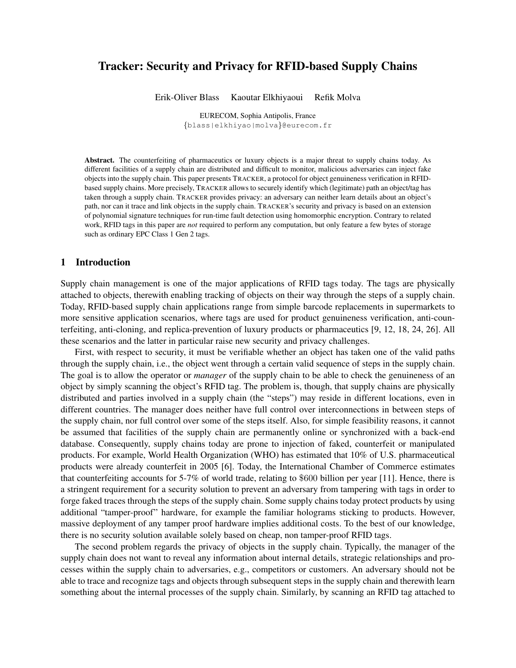# Tracker: Security and Privacy for RFID-based Supply Chains

Erik-Oliver Blass Kaoutar Elkhiyaoui Refik Molva

EURECOM, Sophia Antipolis, France {blass|elkhiyao|molva}@eurecom.fr

Abstract. The counterfeiting of pharmaceutics or luxury objects is a major threat to supply chains today. As different facilities of a supply chain are distributed and difficult to monitor, malicious adversaries can inject fake objects into the supply chain. This paper presents TRACKER, a protocol for object genuineness verification in RFIDbased supply chains. More precisely, TRACKER allows to securely identify which (legitimate) path an object/tag has taken through a supply chain. TRACKER provides privacy: an adversary can neither learn details about an object's path, nor can it trace and link objects in the supply chain. TRACKER's security and privacy is based on an extension of polynomial signature techniques for run-time fault detection using homomorphic encryption. Contrary to related work, RFID tags in this paper are *not* required to perform any computation, but only feature a few bytes of storage such as ordinary EPC Class 1 Gen 2 tags.

## 1 Introduction

Supply chain management is one of the major applications of RFID tags today. The tags are physically attached to objects, therewith enabling tracking of objects on their way through the steps of a supply chain. Today, RFID-based supply chain applications range from simple barcode replacements in supermarkets to more sensitive application scenarios, where tags are used for product genuineness verification, anti-counterfeiting, anti-cloning, and replica-prevention of luxury products or pharmaceutics [9, 12, 18, 24, 26]. All these scenarios and the latter in particular raise new security and privacy challenges.

First, with respect to security, it must be verifiable whether an object has taken one of the valid paths through the supply chain, i.e., the object went through a certain valid sequence of steps in the supply chain. The goal is to allow the operator or *manager* of the supply chain to be able to check the genuineness of an object by simply scanning the object's RFID tag. The problem is, though, that supply chains are physically distributed and parties involved in a supply chain (the "steps") may reside in different locations, even in different countries. The manager does neither have full control over interconnections in between steps of the supply chain, nor full control over some of the steps itself. Also, for simple feasibility reasons, it cannot be assumed that facilities of the supply chain are permanently online or synchronized with a back-end database. Consequently, supply chains today are prone to injection of faked, counterfeit or manipulated products. For example, World Health Organization (WHO) has estimated that 10% of U.S. pharmaceutical products were already counterfeit in 2005 [6]. Today, the International Chamber of Commerce estimates that counterfeiting accounts for 5-7% of world trade, relating to \$600 billion per year [11]. Hence, there is a stringent requirement for a security solution to prevent an adversary from tampering with tags in order to forge faked traces through the steps of the supply chain. Some supply chains today protect products by using additional "tamper-proof" hardware, for example the familiar holograms sticking to products. However, massive deployment of any tamper proof hardware implies additional costs. To the best of our knowledge, there is no security solution available solely based on cheap, non tamper-proof RFID tags.

The second problem regards the privacy of objects in the supply chain. Typically, the manager of the supply chain does not want to reveal any information about internal details, strategic relationships and processes within the supply chain to adversaries, e.g., competitors or customers. An adversary should not be able to trace and recognize tags and objects through subsequent steps in the supply chain and therewith learn something about the internal processes of the supply chain. Similarly, by scanning an RFID tag attached to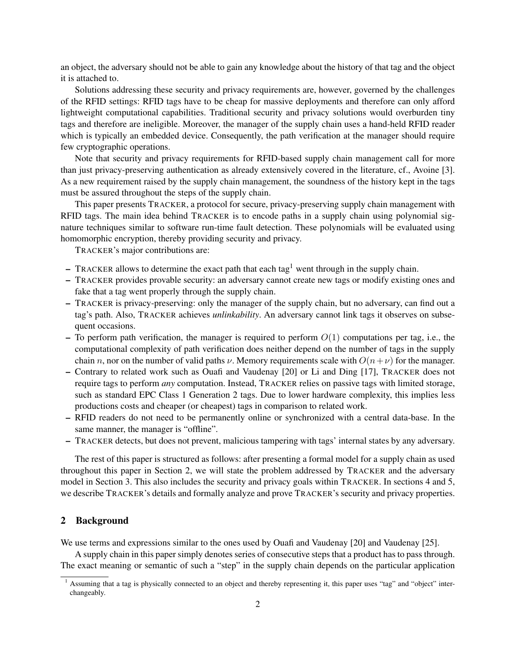an object, the adversary should not be able to gain any knowledge about the history of that tag and the object it is attached to.

Solutions addressing these security and privacy requirements are, however, governed by the challenges of the RFID settings: RFID tags have to be cheap for massive deployments and therefore can only afford lightweight computational capabilities. Traditional security and privacy solutions would overburden tiny tags and therefore are ineligible. Moreover, the manager of the supply chain uses a hand-held RFID reader which is typically an embedded device. Consequently, the path verification at the manager should require few cryptographic operations.

Note that security and privacy requirements for RFID-based supply chain management call for more than just privacy-preserving authentication as already extensively covered in the literature, cf., Avoine [3]. As a new requirement raised by the supply chain management, the soundness of the history kept in the tags must be assured throughout the steps of the supply chain.

This paper presents TRACKER, a protocol for secure, privacy-preserving supply chain management with RFID tags. The main idea behind TRACKER is to encode paths in a supply chain using polynomial signature techniques similar to software run-time fault detection. These polynomials will be evaluated using homomorphic encryption, thereby providing security and privacy.

TRACKER's major contributions are:

- TRACKER allows to determine the exact path that each tag<sup>1</sup> went through in the supply chain.
- TRACKER provides provable security: an adversary cannot create new tags or modify existing ones and fake that a tag went properly through the supply chain.
- TRACKER is privacy-preserving: only the manager of the supply chain, but no adversary, can find out a tag's path. Also, TRACKER achieves *unlinkability*. An adversary cannot link tags it observes on subsequent occasions.
- To perform path verification, the manager is required to perform  $O(1)$  computations per tag, i.e., the computational complexity of path verification does neither depend on the number of tags in the supply chain n, nor on the number of valid paths  $\nu$ . Memory requirements scale with  $O(n+\nu)$  for the manager.
- Contrary to related work such as Ouafi and Vaudenay [20] or Li and Ding [17], TRACKER does not require tags to perform *any* computation. Instead, TRACKER relies on passive tags with limited storage, such as standard EPC Class 1 Generation 2 tags. Due to lower hardware complexity, this implies less productions costs and cheaper (or cheapest) tags in comparison to related work.
- RFID readers do not need to be permanently online or synchronized with a central data-base. In the same manner, the manager is "offline".
- TRACKER detects, but does not prevent, malicious tampering with tags' internal states by any adversary.

The rest of this paper is structured as follows: after presenting a formal model for a supply chain as used throughout this paper in Section 2, we will state the problem addressed by TRACKER and the adversary model in Section 3. This also includes the security and privacy goals within TRACKER. In sections 4 and 5, we describe TRACKER's details and formally analyze and prove TRACKER's security and privacy properties.

# 2 Background

We use terms and expressions similar to the ones used by Ouafi and Vaudenay [20] and Vaudenay [25].

A supply chain in this paper simply denotes series of consecutive steps that a product has to pass through. The exact meaning or semantic of such a "step" in the supply chain depends on the particular application

<sup>&</sup>lt;sup>1</sup> Assuming that a tag is physically connected to an object and thereby representing it, this paper uses "tag" and "object" interchangeably.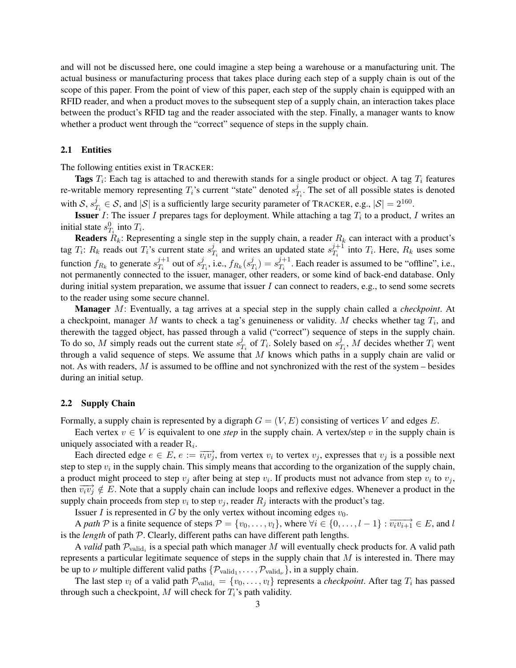and will not be discussed here, one could imagine a step being a warehouse or a manufacturing unit. The actual business or manufacturing process that takes place during each step of a supply chain is out of the scope of this paper. From the point of view of this paper, each step of the supply chain is equipped with an RFID reader, and when a product moves to the subsequent step of a supply chain, an interaction takes place between the product's RFID tag and the reader associated with the step. Finally, a manager wants to know whether a product went through the "correct" sequence of steps in the supply chain.

### 2.1 Entities

The following entities exist in TRACKER:

**Tags**  $T_i$ : Each tag is attached to and therewith stands for a single product or object. A tag  $T_i$  features re-writable memory representing  $T_i$ 's current "state" denoted  $s_1^j$  $T_i$ . The set of all possible states is denoted with  $S, s<sub>7</sub><sup>j</sup>$  $T_i^j \in S$ , and  $|S|$  is a sufficiently large security parameter of TRACKER, e.g.,  $|S| = 2^{160}$ .

**Issuer** *I*: The issuer *I* prepares tags for deployment. While attaching a tag  $T_i$  to a product, *I* writes an initial state  $s_{T_i}^0$  into  $T_i$ .

**Readers**  $R_k$ : Representing a single step in the supply chain, a reader  $R_k$  can interact with a product's tag  $T_i$ :  $R_k$  reads out  $T_i$ 's current state  $s_1^j$  $T_i$  and writes an updated state  $s_{T_i}^{j+1}$  $T_i^{j+1}$  into  $T_i$ . Here,  $R_k$  uses some function  $f_{R_k}$  to generate  $s_{T_i}^{j+1}$  $j+1 \atop T_i$  out of  $s_7^j$  $j_{T_i}$ , i.e.,  $f_{R_k}(s^j_T)$  $\binom{j}{T_i} = s_{T_i}^{j+1}$  $T_i^{j+1}$ . Each reader is assumed to be "offline", i.e., not permanently connected to the issuer, manager, other readers, or some kind of back-end database. Only during initial system preparation, we assume that issuer I can connect to readers, e.g., to send some secrets to the reader using some secure channel.

Manager M: Eventually, a tag arrives at a special step in the supply chain called a *checkpoint*. At a checkpoint, manager M wants to check a tag's genuineness or validity. M checks whether tag  $T_i$ , and therewith the tagged object, has passed through a valid ("correct") sequence of steps in the supply chain. To do so, M simply reads out the current state  $s_7^j$  $T_i$  of  $T_i$ . Solely based on  $s_1^j$  $T_i$ , M decides whether  $T_i$  went through a valid sequence of steps. We assume that  $M$  knows which paths in a supply chain are valid or not. As with readers,  $M$  is assumed to be offline and not synchronized with the rest of the system – besides during an initial setup.

### 2.2 Supply Chain

Formally, a supply chain is represented by a digraph  $G = (V, E)$  consisting of vertices V and edges E.

Each vertex  $v \in V$  is equivalent to one *step* in the supply chain. A vertex/step v in the supply chain is uniquely associated with a reader  $R_i$ .

Each directed edge  $e \in E$ ,  $e := \overrightarrow{v_i v_j}$ , from vertex  $v_i$  to vertex  $v_j$ , expresses that  $v_j$  is a possible next step to step  $v_i$  in the supply chain. This simply means that according to the organization of the supply chain, a product might proceed to step  $v_j$  after being at step  $v_i$ . If products must not advance from step  $v_i$  to  $v_j$ , then  $\overrightarrow{v_iv_j} \notin E$ . Note that a supply chain can include loops and reflexive edges. Whenever a product in the supply chain proceeds from step  $v_i$  to step  $v_j$ , reader  $R_j$  interacts with the product's tag.

Issuer I is represented in G by the only vertex without incoming edges  $v_0$ .

A path P is a finite sequence of steps  $P = \{v_0, \ldots, v_l\}$ , where  $\forall i \in \{0, \ldots, l-1\} : \overrightarrow{v_i v_{i+1}} \in E$ , and l is the *length* of path P. Clearly, different paths can have different path lengths.

A *valid* path  $P_{valid_i}$  is a special path which manager M will eventually check products for. A valid path represents a particular legitimate sequence of steps in the supply chain that  $M$  is interested in. There may be up to  $\nu$  multiple different valid paths  $\{\mathcal{P}_{valid_1}, \ldots, \mathcal{P}_{valid_\nu}\}$ , in a supply chain.

The last step  $v_l$  of a valid path  $\mathcal{P}_{valid_i} = \{v_0, \ldots, v_l\}$  represents a *checkpoint*. After tag  $T_i$  has passed through such a checkpoint, M will check for  $T_i$ 's path validity.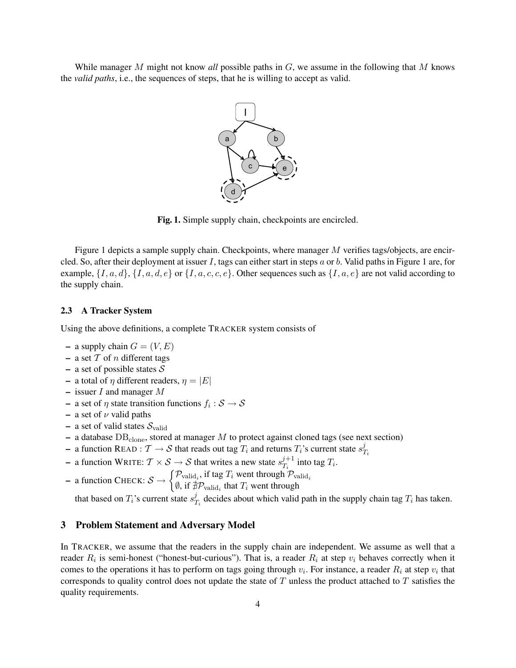While manager M might not know *all* possible paths in G, we assume in the following that M knows the *valid paths*, i.e., the sequences of steps, that he is willing to accept as valid.



Fig. 1. Simple supply chain, checkpoints are encircled.

Figure 1 depicts a sample supply chain. Checkpoints, where manager M verifies tags/objects, are encircled. So, after their deployment at issuer I, tags can either start in steps a or b. Valid paths in Figure 1 are, for example,  $\{I, a, d\}$ ,  $\{I, a, d, e\}$  or  $\{I, a, c, c, e\}$ . Other sequences such as  $\{I, a, e\}$  are not valid according to the supply chain.

#### 2.3 A Tracker System

Using the above definitions, a complete TRACKER system consists of

- a supply chain  $G = (V, E)$
- a set  $T$  of n different tags
- a set of possible states  $S$
- a total of  $\eta$  different readers,  $\eta = |E|$
- issuer  $I$  and manager  $M$
- $-$  a set of  $\eta$  state transition functions  $f_i : \mathcal{S} \to \mathcal{S}$
- a set of  $\nu$  valid paths
- a set of valid states  $S_{\text{valid}}$
- a database  $DB<sub>clone</sub>$ , stored at manager M to protect against cloned tags (see next section)
- a function READ :  $\mathcal{T} \to \mathcal{S}$  that reads out tag  $T_i$  and returns  $T_i$ 's current state  $s_i^j$  $T_i$
- a function WRITE:  $\mathcal{T} \times \mathcal{S} \rightarrow \mathcal{S}$  that writes a new state  $s_{\mathcal{T}_i}^{j+1}$  $T_i^{j+1}$  into tag  $T_i$ .
- a function CHECK:  $S \rightarrow \begin{cases} \mathcal{P}_{\text{valid}_i}, \text{ if tag } T_i \text{ went through } \mathcal{P}_{\text{valid}_i} \\ \emptyset, \text{ if } \pm \mathcal{P}_{\text{real}} \text{ is that } T \text{ want through } \end{cases}$ 
	- $\emptyset$ , if  $\sharp \mathcal{P}_{\text{valid}_i}$  that  $T_i$  went through

that based on  $T_i$ 's current state  $s_j^j$  $T_{T_i}$  decides about which valid path in the supply chain tag  $T_i$  has taken.

#### 3 Problem Statement and Adversary Model

In TRACKER, we assume that the readers in the supply chain are independent. We assume as well that a reader  $R_i$  is semi-honest ("honest-but-curious"). That is, a reader  $R_i$  at step  $v_i$  behaves correctly when it comes to the operations it has to perform on tags going through  $v_i$ . For instance, a reader  $R_i$  at step  $v_i$  that corresponds to quality control does not update the state of  $T$  unless the product attached to  $T$  satisfies the quality requirements.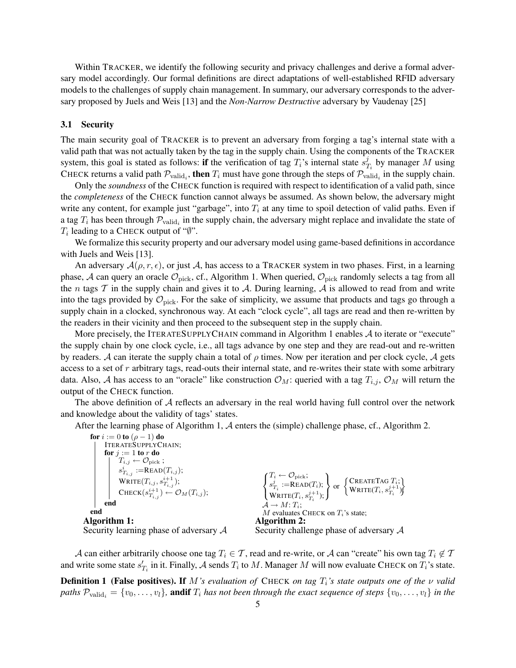Within TRACKER, we identify the following security and privacy challenges and derive a formal adversary model accordingly. Our formal definitions are direct adaptations of well-established RFID adversary models to the challenges of supply chain management. In summary, our adversary corresponds to the adversary proposed by Juels and Weis [13] and the *Non-Narrow Destructive* adversary by Vaudenay [25]

#### 3.1 Security

The main security goal of TRACKER is to prevent an adversary from forging a tag's internal state with a valid path that was not actually taken by the tag in the supply chain. Using the components of the TRACKER system, this goal is stated as follows: if the verification of tag  $T_i$ 's internal state  $s_7^j$  $T_i$  by manager M using CHECK returns a valid path  $\mathcal{P}_{valid_i}$ , then  $T_i$  must have gone through the steps of  $\mathcal{P}_{valid_i}$  in the supply chain.

Only the *soundness* of the CHECK function is required with respect to identification of a valid path, since the *completeness* of the CHECK function cannot always be assumed. As shown below, the adversary might write any content, for example just "garbage", into  $T_i$  at any time to spoil detection of valid paths. Even if a tag  $T_i$  has been through  $\mathcal{P}_{valid_i}$  in the supply chain, the adversary might replace and invalidate the state of  $T_i$  leading to a CHECK output of " $\emptyset$ ".

We formalize this security property and our adversary model using game-based definitions in accordance with Juels and Weis [13].

An adversary  $A(\rho, r, \epsilon)$ , or just A, has access to a TRACKER system in two phases. First, in a learning phase, A can query an oracle  $\mathcal{O}_{\text{pick}}$ , cf., Algorithm 1. When queried,  $\mathcal{O}_{\text{pick}}$  randomly selects a tag from all the n tags  $T$  in the supply chain and gives it to  $A$ . During learning,  $A$  is allowed to read from and write into the tags provided by  $\mathcal{O}_{\text{pick}}$ . For the sake of simplicity, we assume that products and tags go through a supply chain in a clocked, synchronous way. At each "clock cycle", all tags are read and then re-written by the readers in their vicinity and then proceed to the subsequent step in the supply chain.

More precisely, the ITERATESUPPLYCHAIN command in Algorithm 1 enables A to iterate or "execute" the supply chain by one clock cycle, i.e., all tags advance by one step and they are read-out and re-written by readers. A can iterate the supply chain a total of  $\rho$  times. Now per iteration and per clock cycle, A gets access to a set of r arbitrary tags, read-outs their internal state, and re-writes their state with some arbitrary data. Also, A has access to an "oracle" like construction  $\mathcal{O}_M$ : queried with a tag  $T_{i,j}$ ,  $\mathcal{O}_M$  will return the output of the CHECK function.

The above definition of  $A$  reflects an adversary in the real world having full control over the network and knowledge about the validity of tags' states.

After the learning phase of Algorithm 1, A enters the (simple) challenge phase, cf., Algorithm 2.

for  $i := 0$  to  $(\rho - 1)$  do ITERATESUPPLYCHAIN; for  $j := 1$  to r do  $T_{i,j} \leftarrow \mathcal{O}_{\text{pick}}$  ;  $s_{T_{i,j}}^i := \text{READ}(T_{i,j});$  $\mathrm{WRITE}(T_{i,j}, s_{T_{i,j}}^{i+1});$  $\text{CHECK}(s_{T_{i,j}}^{i+1}) \leftarrow \mathcal{O}_M(T_{i,j});$ end end Algorithm 1: Security learning phase of adversary A  $\sqrt{2}$  $\left| \right|$  $\mathcal{L}$  $T_i \leftarrow \mathcal{O}_{\text{pick}}$ ;  $s_{T_i}^j := \text{READ}(T_i);$  $\mathrm{WRITE}(T_i, s_{T_i}^{j+1});$  $\mathcal{L}$  $\mathcal{L}$  $\left| \right|$ or  $\left\{\begin{matrix} \text{CREATETAG } T_i; \\ \text{WPTC} (T_i, e^{j+1}) \end{matrix}\right\}$  $\texttt{CREATETAG}\left\{\vec{T}_i;\right\}_{\texttt{WRITE}(T_i, s_{T_i}^{j+1})}^T\tag*{}$  $\mathcal{A} \to M$ :  $T_i$ ;  $M$  evaluates CHECK on  $T_i$ 's state; Algorithm 2: Security challenge phase of adversary A

A can either arbitrarily choose one tag  $T_i \in \mathcal{T}$ , read and re-write, or A can "create" his own tag  $T_i \notin \mathcal{T}$ and write some state  $s'_{T_i}$  in it. Finally, A sends  $T_i$  to M. Manager M will now evaluate CHECK on  $T_i$ 's state.

**Definition 1 (False positives). If** M's evaluation of CHECK on tag  $T_i$ 's state outputs one of the ν valid *paths*  $\mathcal{P}_{valid_i} = \{v_0, \ldots, v_l\}$ , andif  $T_i$  *has not been through the exact sequence of steps*  $\{v_0, \ldots, v_l\}$  *in the*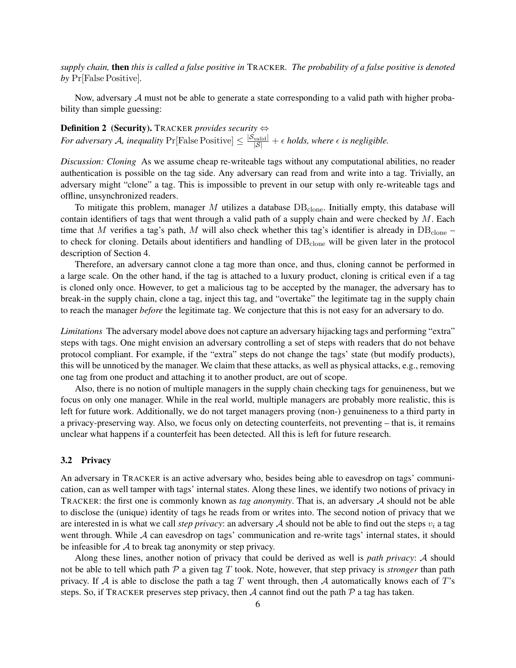*supply chain,* then *this is called a false positive in* TRACKER*. The probability of a false positive is denoted by* Pr[False Positive]*.*

Now, adversary  $A$  must not be able to generate a state corresponding to a valid path with higher probability than simple guessing:

Definition 2 (Security). TRACKER *provides security* ⇔ *For adversary* A, inequality  $Pr[False Positive] \leq \frac{|S_{valid}|}{|S|} + \epsilon$  holds, where  $\epsilon$  is negligible.

*Discussion: Cloning* As we assume cheap re-writeable tags without any computational abilities, no reader authentication is possible on the tag side. Any adversary can read from and write into a tag. Trivially, an adversary might "clone" a tag. This is impossible to prevent in our setup with only re-writeable tags and offline, unsynchronized readers.

To mitigate this problem, manager  $M$  utilizes a database  $DB<sub>clone</sub>$ . Initially empty, this database will contain identifiers of tags that went through a valid path of a supply chain and were checked by  $M$ . Each time that M verifies a tag's path, M will also check whether this tag's identifier is already in  $DB_{clone}$  – to check for cloning. Details about identifiers and handling of  $DB<sub>clone</sub>$  will be given later in the protocol description of Section 4.

Therefore, an adversary cannot clone a tag more than once, and thus, cloning cannot be performed in a large scale. On the other hand, if the tag is attached to a luxury product, cloning is critical even if a tag is cloned only once. However, to get a malicious tag to be accepted by the manager, the adversary has to break-in the supply chain, clone a tag, inject this tag, and "overtake" the legitimate tag in the supply chain to reach the manager *before* the legitimate tag. We conjecture that this is not easy for an adversary to do.

*Limitations* The adversary model above does not capture an adversary hijacking tags and performing "extra" steps with tags. One might envision an adversary controlling a set of steps with readers that do not behave protocol compliant. For example, if the "extra" steps do not change the tags' state (but modify products), this will be unnoticed by the manager. We claim that these attacks, as well as physical attacks, e.g., removing one tag from one product and attaching it to another product, are out of scope.

Also, there is no notion of multiple managers in the supply chain checking tags for genuineness, but we focus on only one manager. While in the real world, multiple managers are probably more realistic, this is left for future work. Additionally, we do not target managers proving (non-) genuineness to a third party in a privacy-preserving way. Also, we focus only on detecting counterfeits, not preventing – that is, it remains unclear what happens if a counterfeit has been detected. All this is left for future research.

### 3.2 Privacy

An adversary in TRACKER is an active adversary who, besides being able to eavesdrop on tags' communication, can as well tamper with tags' internal states. Along these lines, we identify two notions of privacy in TRACKER: the first one is commonly known as *tag anonymity*. That is, an adversary A should not be able to disclose the (unique) identity of tags he reads from or writes into. The second notion of privacy that we are interested in is what we call *step privacy*: an adversary  $A$  should not be able to find out the steps  $v_i$  a tag went through. While A can eavesdrop on tags' communication and re-write tags' internal states, it should be infeasible for  $A$  to break tag anonymity or step privacy.

Along these lines, another notion of privacy that could be derived as well is *path privacy*: A should not be able to tell which path  $P$  a given tag  $T$  took. Note, however, that step privacy is *stronger* than path privacy. If A is able to disclose the path a tag T went through, then A automatically knows each of T's steps. So, if TRACKER preserves step privacy, then A cannot find out the path  $P$  a tag has taken.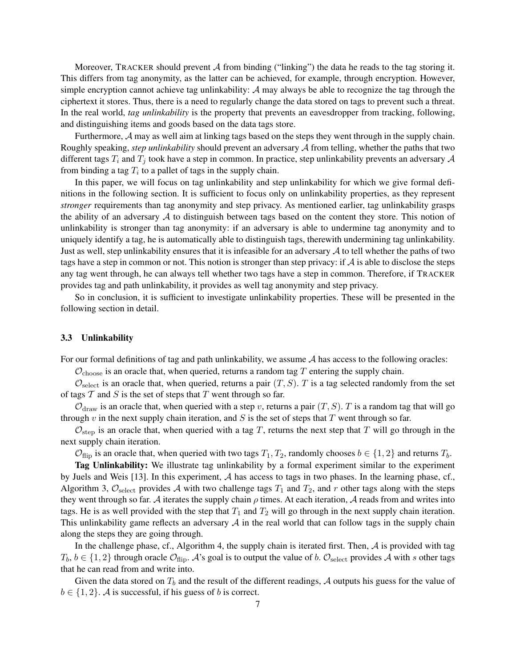Moreover, TRACKER should prevent  $A$  from binding ("linking") the data he reads to the tag storing it. This differs from tag anonymity, as the latter can be achieved, for example, through encryption. However, simple encryption cannot achieve tag unlinkability:  $\mathcal A$  may always be able to recognize the tag through the ciphertext it stores. Thus, there is a need to regularly change the data stored on tags to prevent such a threat. In the real world, *tag unlinkability* is the property that prevents an eavesdropper from tracking, following, and distinguishing items and goods based on the data tags store.

Furthermore, A may as well aim at linking tags based on the steps they went through in the supply chain. Roughly speaking, *step unlinkability* should prevent an adversary A from telling, whether the paths that two different tags  $T_i$  and  $T_j$  took have a step in common. In practice, step unlinkability prevents an adversary A from binding a tag  $T_i$  to a pallet of tags in the supply chain.

In this paper, we will focus on tag unlinkability and step unlinkability for which we give formal definitions in the following section. It is sufficient to focus only on unlinkability properties, as they represent *stronger* requirements than tag anonymity and step privacy. As mentioned earlier, tag unlinkability grasps the ability of an adversary  $A$  to distinguish between tags based on the content they store. This notion of unlinkability is stronger than tag anonymity: if an adversary is able to undermine tag anonymity and to uniquely identify a tag, he is automatically able to distinguish tags, therewith undermining tag unlinkability. Just as well, step unlinkability ensures that it is infeasible for an adversary  $A$  to tell whether the paths of two tags have a step in common or not. This notion is stronger than step privacy: if  $A$  is able to disclose the steps any tag went through, he can always tell whether two tags have a step in common. Therefore, if TRACKER provides tag and path unlinkability, it provides as well tag anonymity and step privacy.

So in conclusion, it is sufficient to investigate unlinkability properties. These will be presented in the following section in detail.

## 3.3 Unlinkability

For our formal definitions of tag and path unlinkability, we assume  $A$  has access to the following oracles:

 $\mathcal{O}_{\text{choose}}$  is an oracle that, when queried, returns a random tag T entering the supply chain.

 $\mathcal{O}_{select}$  is an oracle that, when queried, returns a pair  $(T, S)$ . T is a tag selected randomly from the set of tags  $T$  and  $S$  is the set of steps that  $T$  went through so far.

 $\mathcal{O}_{\text{draw}}$  is an oracle that, when queried with a step v, returns a pair  $(T, S)$ . T is a random tag that will go through  $v$  in the next supply chain iteration, and  $S$  is the set of steps that  $T$  went through so far.

 $\mathcal{O}_{\text{step}}$  is an oracle that, when queried with a tag T, returns the next step that T will go through in the next supply chain iteration.

 $\mathcal{O}_{\text{flip}}$  is an oracle that, when queried with two tags  $T_1, T_2$ , randomly chooses  $b \in \{1, 2\}$  and returns  $T_b$ .

Tag Unlinkability: We illustrate tag unlinkability by a formal experiment similar to the experiment by Juels and Weis [13]. In this experiment, A has access to tags in two phases. In the learning phase, cf., Algorithm 3,  $\mathcal{O}_{select}$  provides A with two challenge tags  $T_1$  and  $T_2$ , and r other tags along with the steps they went through so far. A iterates the supply chain  $\rho$  times. At each iteration, A reads from and writes into tags. He is as well provided with the step that  $T_1$  and  $T_2$  will go through in the next supply chain iteration. This unlinkability game reflects an adversary  $A$  in the real world that can follow tags in the supply chain along the steps they are going through.

In the challenge phase, cf., Algorithm 4, the supply chain is iterated first. Then,  $A$  is provided with tag  $T_b, b \in \{1, 2\}$  through oracle  $\mathcal{O}_{\text{flip}}$ . A's goal is to output the value of b.  $\mathcal{O}_{\text{select}}$  provides A with s other tags that he can read from and write into.

Given the data stored on  $T_b$  and the result of the different readings, A outputs his guess for the value of  $b \in \{1, 2\}$ . A is successful, if his guess of b is correct.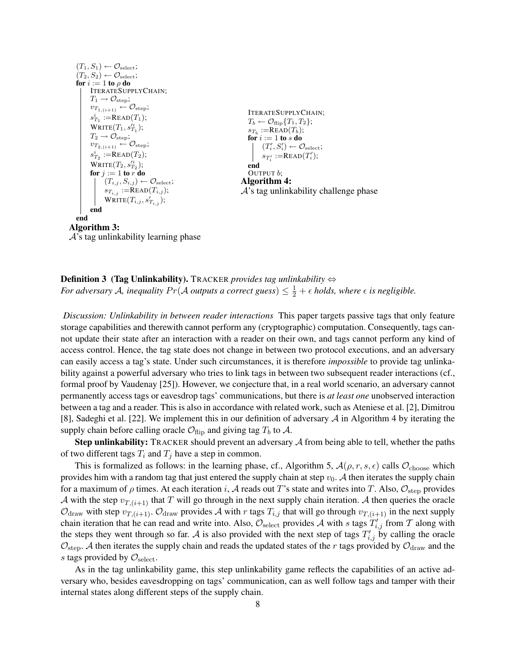$$
(T_1, S_1) \leftarrow \mathcal{O}_{select};
$$
\n
$$
(T_2, S_2) \leftarrow \mathcal{O}_{select};
$$
\n
$$
for i := 1 to \rho do
$$
\n
$$
ITERATESUPPLYCHAIN;
$$
\n
$$
T_1 \rightarrow \mathcal{O}_{step};
$$
\n
$$
v_{T_1,(i+1)} \leftarrow \mathcal{O}_{step};
$$
\n
$$
s_{T_1}^i := READ(T_1);
$$
\n
$$
T_2 \rightarrow \mathcal{O}_{step};
$$
\n
$$
v_{T_2,(i+1)} \leftarrow \mathcal{O}_{step};
$$
\n
$$
r_2 \rightarrow \mathcal{O}_{step};
$$
\n
$$
v_{T_2,(i+1)} \leftarrow \mathcal{O}_{step};
$$
\n
$$
r_3 \leftarrow \mathcal{O}_{step};
$$
\n
$$
r_4 \leftarrow \mathcal{O}_{step} \setminus \mathcal{O}_{step};
$$
\n
$$
r_5 \leftarrow \mathcal{O}_{step};
$$
\n
$$
r_6 \leftarrow \mathcal{O}_{step} \setminus \mathcal{O}_{step};
$$
\n
$$
r_7 \leftarrow \mathcal{O}_{step};
$$
\n
$$
r_8 \leftarrow \mathcal{O}_{step};
$$
\n
$$
r_9 \leftarrow \mathcal{O}_{select};
$$
\n
$$
s_{T_1}^i := READ(T_2);
$$
\n
$$
v_{T_1, (i+1)} \leftarrow \mathcal{O}_{step};
$$
\n
$$
r_1^i := READ(T_1);
$$
\n
$$
r_2^i := READ(T_2);
$$
\n
$$
r_3^i := READ(T_1);
$$
\n
$$
r_4^i := READ(T_1);
$$
\n
$$
r_5 \leftarrow \mathcal{O}_{select};
$$
\n
$$
r_6 \leftarrow \mathcal{O}_{step};
$$
\n
$$
r_7^i := READ(T_1);
$$
\n
$$
r_8 \leftarrow \mathcal{O}_{step};
$$
\n
$$
r_9 \leftarrow \mathcal{O}_{select};
$$
\n
$$
r_1^i := READ(T_1);
$$
\n
$$
r_
$$

 $A$ 's tag unlinkability learning phase

# Definition 3 (Tag Unlinkability). TRACKER *provides tag unlinkability* ⇔ *For adversary A, inequality Pr*(*A outputs a correct guess*)  $\leq \frac{1}{2} + \epsilon$  holds, where  $\epsilon$  is negligible.

*Discussion: Unlinkability in between reader interactions* This paper targets passive tags that only feature storage capabilities and therewith cannot perform any (cryptographic) computation. Consequently, tags cannot update their state after an interaction with a reader on their own, and tags cannot perform any kind of access control. Hence, the tag state does not change in between two protocol executions, and an adversary can easily access a tag's state. Under such circumstances, it is therefore *impossible* to provide tag unlinkability against a powerful adversary who tries to link tags in between two subsequent reader interactions (cf., formal proof by Vaudenay [25]). However, we conjecture that, in a real world scenario, an adversary cannot permanently access tags or eavesdrop tags' communications, but there is *at least one* unobserved interaction between a tag and a reader. This is also in accordance with related work, such as Ateniese et al. [2], Dimitrou [8], Sadeghi et al. [22]. We implement this in our definition of adversary  $A$  in Algorithm 4 by iterating the supply chain before calling oracle  $\mathcal{O}_{\text{flip}}$  and giving tag  $T_b$  to  $\mathcal{A}$ .

Step unlinkability: TRACKER should prevent an adversary A from being able to tell, whether the paths of two different tags  $T_i$  and  $T_j$  have a step in common.

This is formalized as follows: in the learning phase, cf., Algorithm 5,  $\mathcal{A}(\rho, r, s, \epsilon)$  calls  $\mathcal{O}_{\text{choose}}$  which provides him with a random tag that just entered the supply chain at step  $v_0$ . A then iterates the supply chain for a maximum of  $\rho$  times. At each iteration i, A reads out T's state and writes into T. Also,  $\mathcal{O}_{step}$  provides A with the step  $v_{T,(i+1)}$  that T will go through in the next supply chain iteration. A then queries the oracle  $\mathcal{O}_{\text{draw}}$  with step  $v_{T,(i+1)}$ .  $\mathcal{O}_{\text{draw}}$  provides A with r tags  $T_{i,j}$  that will go through  $v_{T,(i+1)}$  in the next supply chain iteration that he can read and write into. Also,  $\mathcal{O}_{select}$  provides A with s tags  $T'_{i,j}$  from T along with the steps they went through so far. A is also provided with the next step of tags  $T'_{i,j}$  by calling the oracle  $\mathcal{O}_{step}$ . A then iterates the supply chain and reads the updated states of the r tags provided by  $\mathcal{O}_{draw}$  and the s tags provided by  $\mathcal{O}_{\text{select}}$ .

As in the tag unlinkability game, this step unlinkability game reflects the capabilities of an active adversary who, besides eavesdropping on tags' communication, can as well follow tags and tamper with their internal states along different steps of the supply chain.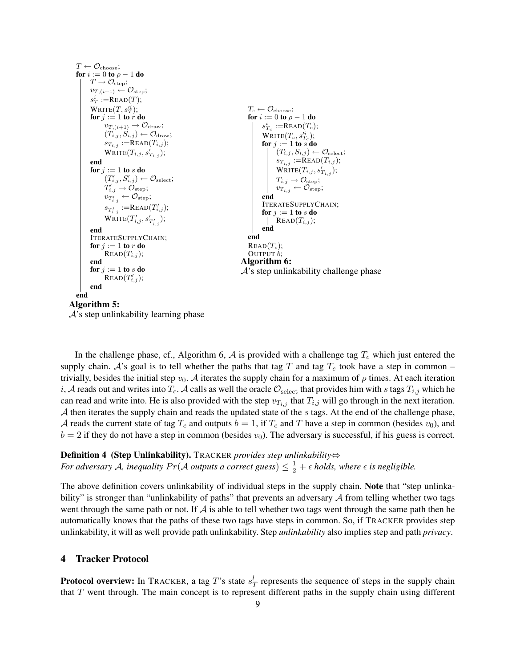

In the challenge phase, cf., Algorithm 6,  $\mathcal A$  is provided with a challenge tag  $T_c$  which just entered the supply chain. A's goal is to tell whether the paths that tag T and tag  $T_c$  took have a step in common – trivially, besides the initial step  $v_0$ . A iterates the supply chain for a maximum of  $\rho$  times. At each iteration i, A reads out and writes into  $T_c$ . A calls as well the oracle  $\mathcal{O}_{select}$  that provides him with s tags  $T_{i,j}$  which he can read and write into. He is also provided with the step  $v_{T_{i,j}}$  that  $T_{i,j}$  will go through in the next iteration. A then iterates the supply chain and reads the updated state of the s tags. At the end of the challenge phase, A reads the current state of tag  $T_c$  and outputs  $b = 1$ , if  $T_c$  and T have a step in common (besides  $v_0$ ), and  $b = 2$  if they do not have a step in common (besides  $v_0$ ). The adversary is successful, if his guess is correct.

# Definition 4 (Step Unlinkability). TRACKER *provides step unlinkability*⇔

*For adversary A, inequality Pr*(*A outputs a correct guess*)  $\leq \frac{1}{2} + \epsilon$  *holds, where*  $\epsilon$  *is negligible.* 

The above definition covers unlinkability of individual steps in the supply chain. Note that "step unlinkability" is stronger than "unlinkability of paths" that prevents an adversary  $A$  from telling whether two tags went through the same path or not. If  $\mathcal A$  is able to tell whether two tags went through the same path then he automatically knows that the paths of these two tags have steps in common. So, if TRACKER provides step unlinkability, it will as well provide path unlinkability. Step *unlinkability* also implies step and path *privacy*.

# 4 Tracker Protocol

**Protocol overview:** In TRACKER, a tag T's state  $s_T^l$  represents the sequence of steps in the supply chain that  $T$  went through. The main concept is to represent different paths in the supply chain using different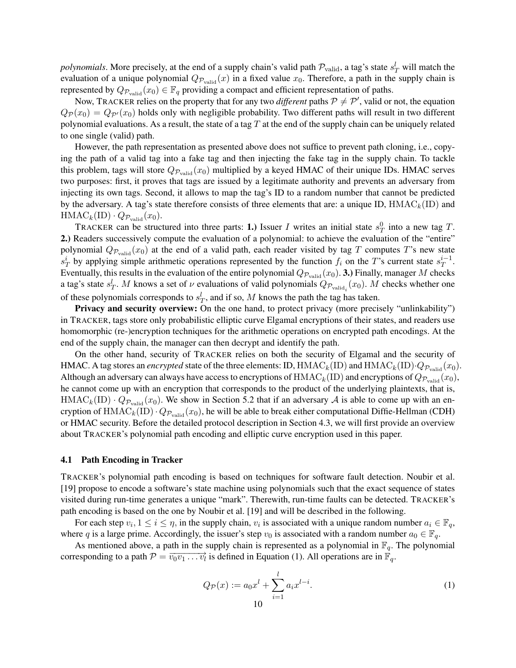*polynomials*. More precisely, at the end of a supply chain's valid path  $\mathcal{P}_{valid}$ , a tag's state  $s_T^l$  will match the evaluation of a unique polynomial  $Q_{\mathcal{P}_{valid}}(x)$  in a fixed value  $x_0$ . Therefore, a path in the supply chain is represented by  $Q_{\mathcal{P}_{valid}}(x_0) \in \mathbb{F}_q$  providing a compact and efficient representation of paths.

Now, TRACKER relies on the property that for any two *different* paths  $P \neq P'$ , valid or not, the equation  $Q_{\mathcal{P}}(x_0) = Q_{\mathcal{P}}(x_0)$  holds only with negligible probability. Two different paths will result in two different polynomial evaluations. As a result, the state of a tag  $T$  at the end of the supply chain can be uniquely related to one single (valid) path.

However, the path representation as presented above does not suffice to prevent path cloning, i.e., copying the path of a valid tag into a fake tag and then injecting the fake tag in the supply chain. To tackle this problem, tags will store  $Q_{\mathcal{P}_{valid}}(x_0)$  multiplied by a keyed HMAC of their unique IDs. HMAC serves two purposes: first, it proves that tags are issued by a legitimate authority and prevents an adversary from injecting its own tags. Second, it allows to map the tag's ID to a random number that cannot be predicted by the adversary. A tag's state therefore consists of three elements that are: a unique ID,  $HMAC_k(ID)$  and  $HMAC_k(ID) \cdot Q_{\mathcal{P}_{valid}}(x_0).$ 

TRACKER can be structured into three parts: 1.) Issuer I writes an initial state  $s_T^0$  into a new tag T. 2.) Readers successively compute the evaluation of a polynomial: to achieve the evaluation of the "entire" polynomial  $Q_{\mathcal{P}_{valid}}(x_0)$  at the end of a valid path, each reader visited by tag T computes T's new state  $s_T^i$  by applying simple arithmetic operations represented by the function  $f_i$  on the T's current state  $s_T^{i-1}$  $\overset{i-1}{T}$ . Eventually, this results in the evaluation of the entire polynomial  $Q_{\mathcal{P}_{valid}}(x_0)$ . 3.) Finally, manager M checks a tag's state  $s_T^l$ . M knows a set of  $\nu$  evaluations of valid polynomials  $Q_{\mathcal{P}_{\text{valid}_i}}(x_0)$ . M checks whether one of these polynomials corresponds to  $s_T^l$ , and if so, M knows the path the tag has taken.

Privacy and security overview: On the one hand, to protect privacy (more precisely "unlinkability") in TRACKER, tags store only probabilistic elliptic curve Elgamal encryptions of their states, and readers use homomorphic (re-)encryption techniques for the arithmetic operations on encrypted path encodings. At the end of the supply chain, the manager can then decrypt and identify the path.

On the other hand, security of TRACKER relies on both the security of Elgamal and the security of HMAC. A tag stores an *encrypted* state of the three elements: ID,  $HMAC_k(ID)$  and  $HMAC_k(ID) \cdot Q_{\mathcal{P}_{valid}}(x_0)$ . Although an adversary can always have access to encryptions of  $HMAC_k(ID)$  and encryptions of  $Q_{P_{valid}}(x_0)$ , he cannot come up with an encryption that corresponds to the product of the underlying plaintexts, that is,  $HMAC_k(ID) \cdot Q_{P_{valid}}(x_0)$ . We show in Section 5.2 that if an adversary A is able to come up with an encryption of HMAC<sub>k</sub>(ID)  $Q_{\mathcal{P}_{valid}}(x_0)$ , he will be able to break either computational Diffie-Hellman (CDH) or HMAC security. Before the detailed protocol description in Section 4.3, we will first provide an overview about TRACKER's polynomial path encoding and elliptic curve encryption used in this paper.

#### 4.1 Path Encoding in Tracker

TRACKER's polynomial path encoding is based on techniques for software fault detection. Noubir et al. [19] propose to encode a software's state machine using polynomials such that the exact sequence of states visited during run-time generates a unique "mark". Therewith, run-time faults can be detected. TRACKER's path encoding is based on the one by Noubir et al. [19] and will be described in the following.

For each step  $v_i, 1 \le i \le \eta$ , in the supply chain,  $v_i$  is associated with a unique random number  $a_i \in \mathbb{F}_q$ , where q is a large prime. Accordingly, the issuer's step  $v_0$  is associated with a random number  $a_0 \in \mathbb{F}_q$ .

As mentioned above, a path in the supply chain is represented as a polynomial in  $\mathbb{F}_q$ . The polynomial corresponding to a path  $\mathcal{P} = \overrightarrow{v_0v_1 \dots v_l}$  is defined in Equation (1). All operations are in  $\mathbb{F}_q$ .

$$
Q_{\mathcal{P}}(x) := a_0 x^l + \sum_{i=1}^l a_i x^{l-i}.
$$
 (1)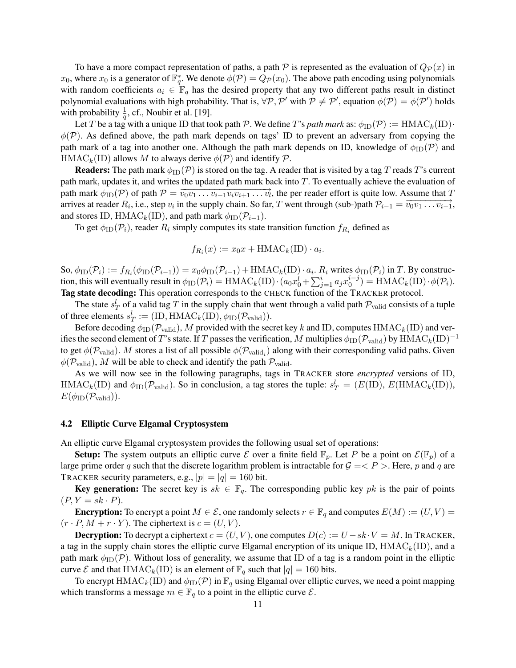To have a more compact representation of paths, a path  $P$  is represented as the evaluation of  $Q_{\mathcal{P}}(x)$  in  $x_0$ , where  $x_0$  is a generator of  $\mathbb{F}_q^*$ . We denote  $\phi(\mathcal{P}) = Q_{\mathcal{P}}(x_0)$ . The above path encoding using polynomials with random coefficients  $a_i \in \mathbb{F}_q$  has the desired property that any two different paths result in distinct polynomial evaluations with high probability. That is,  $\forall P, P'$  with  $P \neq P'$ , equation  $\phi(P) = \phi(P')$  holds with probability  $\frac{1}{q}$ , cf., Noubir et al. [19].

Let T be a tag with a unique ID that took path P. We define T's path mark as:  $\phi_{ID}(P) := \text{HMAC}_k(\text{ID}) \cdot$  $\phi(\mathcal{P})$ . As defined above, the path mark depends on tags' ID to prevent an adversary from copying the path mark of a tag into another one. Although the path mark depends on ID, knowledge of  $\phi_{\text{ID}}(\mathcal{P})$  and HMAC<sub>k</sub>(ID) allows M to always derive  $\phi(\mathcal{P})$  and identify  $\mathcal{P}$ .

**Readers:** The path mark  $\phi_{\text{ID}}(\mathcal{P})$  is stored on the tag. A reader that is visited by a tag T reads T's current path mark, updates it, and writes the updated path mark back into T. To eventually achieve the evaluation of path mark  $\phi_{ID}(\mathcal{P})$  of path  $\mathcal{P} = \overline{v_0 v_1 \dots v_{i-1} v_i v_{i+1} \dots v_l}$ , the per reader effort is quite low. Assume that T arrives at reader  $R_i$ , i.e., step  $v_i$  in the supply chain. So far, T went through (sub-)path  $\mathcal{P}_{i-1} = \overrightarrow{v_0v_1 \dots v_{i-1}}$ , and stores ID, HMAC<sub>k</sub>(ID), and path mark  $\phi_{ID}(\mathcal{P}_{i-1})$ .

To get  $\phi_{\text{ID}}(\mathcal{P}_i)$ , reader  $R_i$  simply computes its state transition function  $f_{R_i}$  defined as

$$
f_{R_i}(x) := x_0 x + \text{HMAC}_k(\text{ID}) \cdot a_i.
$$

So,  $\phi_{\text{ID}}(\mathcal{P}_i) := f_{R_i}(\phi_{\text{ID}}(\mathcal{P}_{i-1})) = x_0 \phi_{\text{ID}}(\mathcal{P}_{i-1}) + \text{HMAC}_k(\text{ID}) \cdot a_i$ .  $R_i$  writes  $\phi_{\text{ID}}(\mathcal{P}_i)$  in  $T$ . By construction, this will eventually result in  $\phi_{\text{ID}}(\mathcal{P}_i) = \text{HMAC}_k(\text{ID}) \cdot (a_0 x_0^i + \sum_{j=1}^i a_j x_0^{i-j})$  $\phi_0^{i-j}$ ) = HMAC<sub>k</sub>(ID) $\cdot \phi(\mathcal{P}_i)$ . Tag state decoding: This operation corresponds to the CHECK function of the TRACKER protocol.

The state  $s_T^l$  of a valid tag T in the supply chain that went through a valid path  $\mathcal{P}_{valid}$  consists of a tuple of three elements  $s_T^l := (\text{ID}, \text{HMAC}_k(\text{ID}), \phi_{\text{ID}}(\mathcal{P}_{\text{valid}})).$ 

Before decoding  $\phi_{ID}(\mathcal{P}_{valid})$ , M provided with the secret key k and ID, computes HMAC<sub>k</sub>(ID) and verifies the second element of T's state. If T passes the verification, M multiplies  $\phi_{ID}(\mathcal{P}_{valid})$  by  $HMAC_k(ID)^{-1}$ to get  $\phi(\mathcal{P}_{\text{valid}})$ .  $M$  stores a list of all possible  $\phi(\mathcal{P}_{\text{valid}_i})$  along with their corresponding valid paths. Given  $\phi(\mathcal{P}_{valid})$ , M will be able to check and identify the path  $\mathcal{P}_{valid}$ .

As we will now see in the following paragraphs, tags in TRACKER store *encrypted* versions of ID,  $\text{HMAC}_k(\text{ID})$  and  $\phi_{\text{ID}}(\mathcal{P}_{\text{valid}})$ . So in conclusion, a tag stores the tuple:  $s_T^l = (E(\text{ID}), E(\text{HMAC}_k(\text{ID})),$  $E(\phi_{\text{ID}}(\mathcal{P}_{\text{valid}})).$ 

## 4.2 Elliptic Curve Elgamal Cryptosystem

An elliptic curve Elgamal cryptosystem provides the following usual set of operations:

**Setup:** The system outputs an elliptic curve  $\mathcal E$  over a finite field  $\mathbb F_p$ . Let P be a point on  $\mathcal E(\mathbb F_p)$  of a large prime order q such that the discrete logarithm problem is intractable for  $G = \langle P \rangle$ . Here, p and q are TRACKER security parameters, e.g.,  $|p| = |q| = 160$  bit.

**Key generation:** The secret key is  $sk \in \mathbb{F}_q$ . The corresponding public key pk is the pair of points  $(P, Y = sk \cdot P).$ 

**Encryption:** To encrypt a point  $M \in \mathcal{E}$ , one randomly selects  $r \in \mathbb{F}_q$  and computes  $E(M) := (U, V) =$  $(r \cdot P, M + r \cdot Y)$ . The ciphertext is  $c = (U, V)$ .

**Decryption:** To decrypt a ciphertext  $c = (U, V)$ , one computes  $D(c) := U - sk \cdot V = M$ . In TRACKER, a tag in the supply chain stores the elliptic curve Elgamal encryption of its unique ID,  $HMAC_k(ID)$ , and a path mark  $\phi_{\text{ID}}(\mathcal{P})$ . Without loss of generality, we assume that ID of a tag is a random point in the elliptic curve  $\mathcal E$  and that HMAC<sub>k</sub>(ID) is an element of  $\mathbb F_q$  such that  $|q| = 160$  bits.

To encrypt HMAC<sub>k</sub>(ID) and  $\phi_{ID}(P)$  in  $\mathbb{F}_q$  using Elgamal over elliptic curves, we need a point mapping which transforms a message  $m \in \mathbb{F}_q$  to a point in the elliptic curve  $\mathcal{E}$ .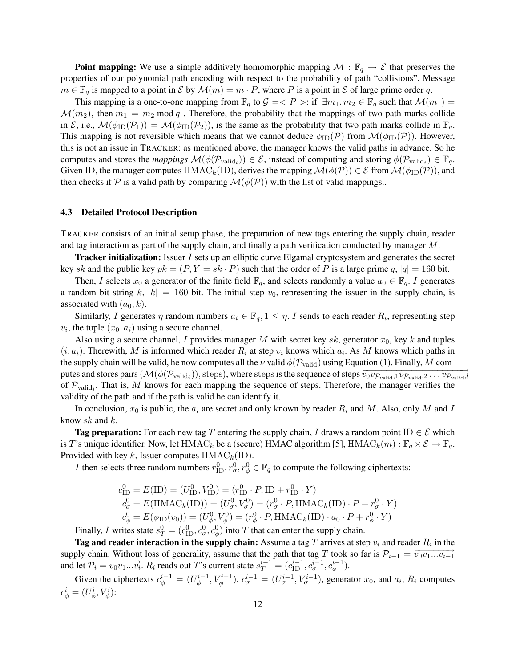**Point mapping:** We use a simple additively homomorphic mapping  $\mathcal{M} : \mathbb{F}_q \to \mathcal{E}$  that preserves the properties of our polynomial path encoding with respect to the probability of path "collisions". Message  $m \in \mathbb{F}_q$  is mapped to a point in  $\mathcal E$  by  $\mathcal M(m) = m \cdot P$ , where P is a point in  $\mathcal E$  of large prime order q.

This mapping is a one-to-one mapping from  $\mathbb{F}_q$  to  $\mathcal{G} \leq P >:$  if  $\exists m_1, m_2 \in \mathbb{F}_q$  such that  $\mathcal{M}(m_1) =$  $\mathcal{M}(m_2)$ , then  $m_1 = m_2 \mod q$ . Therefore, the probability that the mappings of two path marks collide in E, i.e.,  $\mathcal{M}(\phi_{\text{ID}}(\mathcal{P}_1)) = \mathcal{M}(\phi_{\text{ID}}(\mathcal{P}_2))$ , is the same as the probability that two path marks collide in  $\mathbb{F}_q$ . This mapping is not reversible which means that we cannot deduce  $\phi_{\text{ID}}(\mathcal{P})$  from  $\mathcal{M}(\phi_{\text{ID}}(\mathcal{P}))$ . However, this is not an issue in TRACKER: as mentioned above, the manager knows the valid paths in advance. So he computes and stores the *mappings*  $\mathcal{M}(\phi(\mathcal{P}_{valid_i})) \in \mathcal{E}$ , instead of computing and storing  $\phi(\mathcal{P}_{valid_i}) \in \mathbb{F}_q$ . Given ID, the manager computes HMAC<sub>k</sub>(ID), derives the mapping  $\mathcal{M}(\phi(\mathcal{P})) \in \mathcal{E}$  from  $\mathcal{M}(\phi_{\text{ID}}(\mathcal{P}))$ , and then checks if P is a valid path by comparing  $\mathcal{M}(\phi(\mathcal{P}))$  with the list of valid mappings..

#### 4.3 Detailed Protocol Description

TRACKER consists of an initial setup phase, the preparation of new tags entering the supply chain, reader and tag interaction as part of the supply chain, and finally a path verification conducted by manager M.

**Tracker initialization:** Issuer I sets up an elliptic curve Elgamal cryptosystem and generates the secret key sk and the public key  $pk = (P, Y = sk \cdot P)$  such that the order of P is a large prime q,  $|q| = 160$  bit.

Then, I selects  $x_0$  a generator of the finite field  $\mathbb{F}_q$ , and selects randomly a value  $a_0 \in \mathbb{F}_q$ . I generates a random bit string k,  $|k| = 160$  bit. The initial step  $v_0$ , representing the issuer in the supply chain, is associated with  $(a_0, k)$ .

Similarly, I generates  $\eta$  random numbers  $a_i \in \mathbb{F}_q$ ,  $1 \leq \eta$ . I sends to each reader  $R_i$ , representing step  $v_i$ , the tuple  $(x_0, a_i)$  using a secure channel.

Also using a secure channel, I provides manager M with secret key sk, generator  $x_0$ , key k and tuples  $(i, a_i)$ . Therewith, M is informed which reader  $R_i$  at step  $v_i$  knows which  $a_i$ . As M knows which paths in the supply chain will be valid, he now computes all the  $\nu$  valid  $\phi(\mathcal{P}_{valid})$  using Equation (1). Finally, M computes and stores pairs  $(M(\phi(\mathcal{P}_{valid})),$  steps), where steps is the sequence of steps  $\overrightarrow{v_0v_{\mathcal{P}_{valid},1}v_{\mathcal{P}_{valid},2} \dots v_{\mathcal{P}_{valid},l}}$ of  $\mathcal{P}_{valid_i}$ . That is, M knows for each mapping the sequence of steps. Therefore, the manager verifies the validity of the path and if the path is valid he can identify it.

In conclusion,  $x_0$  is public, the  $a_i$  are secret and only known by reader  $R_i$  and M. Also, only M and I know sk and k.

**Tag preparation:** For each new tag T entering the supply chain, I draws a random point ID  $\in \mathcal{E}$  which is T's unique identifier. Now, let HMAC<sub>k</sub> be a (secure) HMAC algorithm [5], HMAC<sub>k</sub> $(m)$ :  $\mathbb{F}_q \times \mathcal{E} \to \mathbb{F}_q$ . Provided with key k, Issuer computes  $HMAC_k(ID)$ .

*I* then selects three random numbers  $r_{\text{ID}}^0$ ,  $r_{\phi}^0$ ,  $r_{\phi}^0 \in \mathbb{F}_q$  to compute the following ciphertexts:

$$
c_{\text{ID}}^0 = E(\text{ID}) = (U_{\text{ID}}^0, V_{\text{ID}}^0) = (r_{\text{ID}}^0 \cdot P, \text{ID} + r_{\text{ID}}^0 \cdot Y)
$$
  
\n
$$
c_{\sigma}^0 = E(\text{HMAC}_k(\text{ID})) = (U_{\sigma}^0, V_{\sigma}^0) = (r_{\sigma}^0 \cdot P, \text{HMAC}_k(\text{ID}) \cdot P + r_{\sigma}^0 \cdot Y)
$$
  
\n
$$
c_{\phi}^0 = E(\phi_{\text{ID}}(v_0)) = (U_{\phi}^0, V_{\phi}^0) = (r_{\phi}^0 \cdot P, \text{HMAC}_k(\text{ID}) \cdot a_0 \cdot P + r_{\phi}^0 \cdot Y)
$$

Finally, I writes state  $s_T^0 = (c_{\text{ID}}^0, c_{\sigma}^0, c_{\phi}^0)$  into T that can enter the supply chain.

**Tag and reader interaction in the supply chain:** Assume a tag  $T$  arrives at step  $v_i$  and reader  $R_i$  in the supply chain. Without loss of generality, assume that the path that tag T took so far is  $\mathcal{P}_{i-1} = \overrightarrow{v_0v_1...v_{i-1}}$ and let  $\mathcal{P}_i = \overrightarrow{v_0v_1...v_i}$ .  $R_i$  reads out T's current state  $s_T^{i-1} = (c_{\text{ID}}^{i-1}, c_{\sigma}^{i-1}, c_{\phi}^{i-1})$ .

Given the ciphertexts  $c_{\phi}^{i-1} = (U_{\phi}^{i-1})$  $\phi_{\phi}^{i-1}, V_{\phi}^{i-1}, c_{\sigma}^{i-1} = (U_{\sigma}^{i-1}, V_{\sigma}^{i-1})$ , generator  $x_0$ , and  $a_i$ ,  $R_i$  computes  $c^i_\phi = (U^i_\phi, V^i_\phi)$ :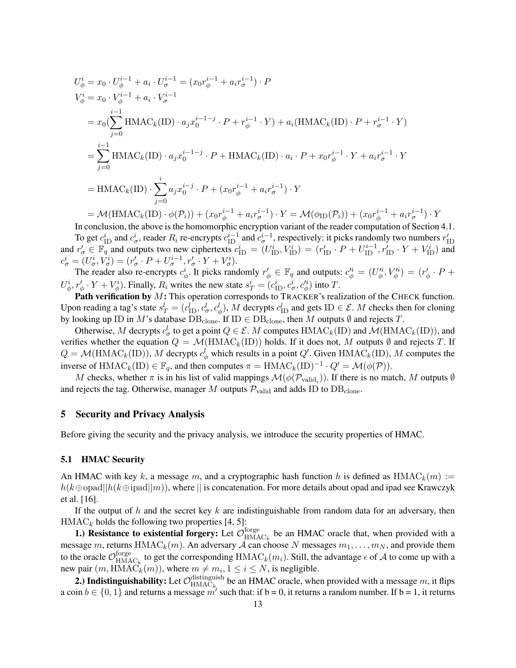$$
U_{\phi}^{i} = x_{0} \cdot U_{\phi}^{i-1} + a_{i} \cdot U_{\sigma}^{i-1} = (x_{0}r_{\phi}^{i-1} + a_{i}r_{\sigma}^{i-1}) \cdot P
$$
  
\n
$$
V_{\phi}^{i} = x_{0} \cdot V_{\phi}^{i-1} + a_{i} \cdot V_{\sigma}^{i-1}
$$
  
\n
$$
= x_{0}(\sum_{j=0}^{i-1} \text{HMAC}_{k}(\text{ID}) \cdot a_{j}x_{0}^{i-1-j} \cdot P + r_{\phi}^{i-1} \cdot Y) + a_{i}(\text{HMAC}_{k}(\text{ID}) \cdot P + r_{\sigma}^{i-1} \cdot Y)
$$
  
\n
$$
= \sum_{j=0}^{i-1} \text{HMAC}_{k}(\text{ID}) \cdot a_{j}x_{0}^{i-1-j} \cdot P + \text{HMAC}_{k}(\text{ID}) \cdot a_{i} \cdot P + x_{0}r_{\phi}^{i-1} \cdot Y + a_{i}r_{\sigma}^{i-1} \cdot Y
$$
  
\n
$$
= \text{HMAC}_{k}(\text{ID}) \cdot \sum_{j=0}^{i} a_{j}x_{0}^{i-j} \cdot P + (x_{0}r_{\phi}^{i-1} + a_{i}r_{\sigma}^{i-1}) \cdot Y
$$
  
\n
$$
= \mathcal{M}(\text{HMAC}_{k}(\text{ID}) \cdot \phi(P_{i})) + (x_{0}r_{\phi}^{i-1} + a_{i}r_{\sigma}^{i-1}) \cdot Y = \mathcal{M}(\phi_{\text{ID}}(P_{i})) + (x_{0}r_{\phi}^{i-1} + a_{i}r_{\sigma}^{i-1}) \cdot Y
$$

In conclusion, the above is the homomorphic encryption variant of the reader computation of Section 4.1.

 $\overline{Y}$ 

To get  $c_{\text{ID}}^i$  and  $c_{\sigma}^i$ , reader  $R_i$  re-encrypts  $c_{\text{ID}}^{i-1}$  and  $c_{\sigma}^{i-1}$ , respectively: it picks randomly two numbers  $r'_{\text{ID}}$ and  $r'_{\sigma} \in \mathbb{F}_q$  and outputs two new ciphertexts  $c_{\text{ID}}^i = (U_{\text{ID}}^i, V_{\text{ID}}^i) = (r'_{\text{ID}} \cdot P + U_{\text{ID}}^{i-1}, r'_{\text{ID}} \cdot Y + V_{\text{ID}}^i)$  and  $c^i_\sigma = (U^i_\sigma, V^i_\sigma) = (r'_\sigma \cdot P + U^{i-1}_\sigma, r'_\sigma \cdot Y + V^i_\sigma).$ 

The reader also re-encrypts  $c^i_\phi$ . It picks randomly  $r'_\phi \in \mathbb{F}_q$  and outputs:  $c^{i}_\phi = (U^{i}_\phi, V^{i}_\phi) = (r'_\phi \cdot P +$  $U^i_{\phi}$ ,  $r'_{\phi} \cdot Y + V^i_{\phi}$ ). Finally,  $R_i$  writes the new state  $s^i_T = (c^i_{\text{ID}}, c^i_{\sigma}, c^i_{\phi})$  into T.

Path verification by M: This operation corresponds to TRACKER's realization of the CHECK function. Upon reading a tag's state  $s_T^l = (c_{\text{ID}}^l, c_\sigma^l, c_\phi^l)$ , M decrypts  $c_{\text{ID}}^l$  and gets ID  $\in \mathcal{E}$ . M checks then for cloning by looking up ID in M's database  $DB_{clone}$ . If ID  $\in DB_{clone}$ , then M outputs  $\emptyset$  and rejects T.

Otherwise, M decrypts  $c^l_{\sigma}$  to get a point  $Q \in \mathcal{E}$ . M computes  $\text{HMAC}_k(\text{ID})$  and  $\mathcal{M}(\text{HMAC}_k(\text{ID}))$ , and verifies whether the equation  $Q = \mathcal{M}(\text{HMAC}_k(\text{ID}))$  holds. If it does not, M outputs  $\emptyset$  and rejects T. If  $Q = \mathcal{M}(\text{HMAC}_k(\text{ID}))$ , M decrypts  $c^l_{\phi}$  which results in a point  $Q'$ . Given  $\text{HMAC}_k(\text{ID})$ , M computes the inverse of HMAC<sub>k</sub>(ID)  $\in \mathbb{F}_q$ , and then computes  $\pi = \text{HMAC}_k(\text{ID})^{-1} \cdot Q' = \mathcal{M}(\phi(\mathcal{P}))$ .

M checks, whether  $\pi$  is in his list of valid mappings  $\mathcal{M}(\phi(\mathcal{P}_{valid_i}))$ . If there is no match, M outputs  $\emptyset$ and rejects the tag. Otherwise, manager M outputs  $P_{\text{valid}}$  and adds ID to  $DB_{\text{clone}}$ .

# 5 Security and Privacy Analysis

Before giving the security and the privacy analysis, we introduce the security properties of HMAC.

## 5.1 HMAC Security

An HMAC with key k, a message m, and a cryptographic hash function h is defined as  $HMAC<sub>k</sub>(m) :=$  $h(k \oplus \text{opad}||h(k \oplus \text{ipad}||m))$ , where  $||$  is concatenation. For more details about opad and ipad see Krawczyk et al. [16].

If the output of h and the secret key  $k$  are indistinguishable from random data for an adversary, then  $HMAC<sub>k</sub>$  holds the following two properties [4, 5]:

1.) Resistance to existential forgery: Let  $\mathcal{O}_{HMA}^{forge}$  $H_{\text{MAC}_k}$  be an HMAC oracle that, when provided with a message m, returns HMAC<sub>k</sub>(m). An adversary A can choose N messages  $m_1, \ldots, m_N$ , and provide them to the oracle  $\mathcal{O}_{\text{HMA}}^{\text{forge}}$  $H_{\text{MAC}_k}^{\text{torge}}$  to get the corresponding  $\text{HMAC}_k(m_i)$ . Still, the advantage  $\epsilon$  of  $\mathcal A$  to come up with a new pair  $(m, \text{HMAC}_k(m))$ , where  $m \neq m_i, 1 \leq i \leq N$ , is negligible.

2.) Indistinguishability: Let  $\mathcal{O}_{\text{HMAC}_{L}}^{\text{distinguish}}$  $\mu_{\text{HMAC}_{k}}$  be an HMAC oracle, when provided with a message m, it flips a coin  $b \in \{0, 1\}$  and returns a message m' such that: if  $b = 0$ , it returns a random number. If  $b = 1$ , it returns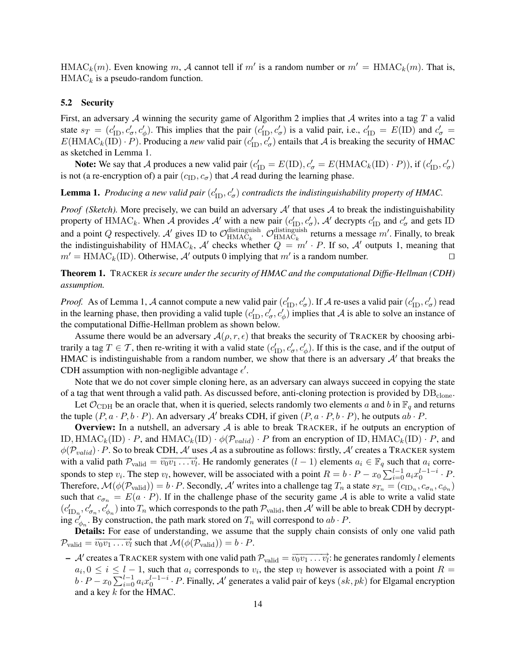HMAC<sub>k</sub> $(m)$ . Even knowing m, A cannot tell if m' is a random number or  $m' = \text{HMAC}_k(m)$ . That is,  $HMAC<sub>k</sub>$  is a pseudo-random function.

## 5.2 Security

First, an adversary A winning the security game of Algorithm 2 implies that A writes into a tag T a valid state  $s_T = (c'_{\text{ID}}, c'_{\sigma}, c'_{\phi})$ . This implies that the pair  $(c'_{\text{ID}}, c'_{\sigma})$  is a valid pair, i.e.,  $c'_{\text{ID}} = E(\text{ID})$  and  $c'_{\sigma}$  =  $E(\text{HMAC}_k(\text{ID}) \cdot P)$ . Producing a *new* valid pair  $(c'_{\text{ID}}, c'_{\sigma})$  entails that A is breaking the security of HMAC as sketched in Lemma 1.

**Note:** We say that A produces a new valid pair  $(c'_{ID} = E(ID), c'_{\sigma} = E(HMAC_k(ID) \cdot P)$ ), if  $(c'_{ID}, c'_{\sigma})$ is not (a re-encryption of) a pair  $(c_{\text{ID}}, c_{\sigma})$  that A read during the learning phase.

# **Lemma 1.** Producing a new valid pair  $(c'_{\text{ID}}, c'_{\sigma})$  contradicts the indistinguishability property of HMAC.

*Proof (Sketch)*. More precisely, we can build an adversary  $A'$  that uses  $A$  to break the indistinguishability property of HMAC<sub>k</sub>. When A provides A' with a new pair  $(c'_{\text{ID}}, c'_{\sigma})$ , A' decrypts  $c'_{\text{ID}}$  and  $c'_{\sigma}$  and gets ID  $\epsilon_{\sigma}$ ), A decrypts  $c_{\text{ID}}$  and  $c_{\sigma}$ and a point Q respectively. A' gives ID to  $\mathcal{O}_{\text{HMAC}_{b}}^{\text{distinguish}}$ distinguish.  $\mathcal{O}_{\text{HMAC}_k}^{\text{distinguish}}$  $\frac{\text{distinguish}}{\text{HMAC}_k}$  returns a message m'. Finally, to break the indistinguishability of HMAC<sub>k</sub>, A' checks whether  $Q = m' \cdot P$ . If so, A' outputs 1, meaning that  $m' = \text{HMAC}_k(\text{ID})$ . Otherwise, A' outputs 0 implying that m' is a random number.

# Theorem 1. TRACKER *is secure under the security of HMAC and the computational Diffie-Hellman (CDH) assumption.*

*Proof.* As of Lemma 1, A cannot compute a new valid pair  $(c'_{\text{ID}}, c'_{\sigma})$ . If A re-uses a valid pair  $(c'_{\text{ID}}, c'_{\sigma})$  read in the learning phase, then providing a valid tuple  $(c'_{\rm ID}, c'_{\sigma}, c'_{\phi})$  implies that A is able to solve an instance of the computational Diffie-Hellman problem as shown below.

Assume there would be an adversary  $\mathcal{A}(\rho, r, \epsilon)$  that breaks the security of TRACKER by choosing arbitrarily a tag  $T \in \mathcal{T}$ , then re-writing it with a valid state  $(c'_{\text{ID}}, c'_{\sigma}, c'_{\phi})$ . If this is the case, and if the output of HMAC is indistinguishable from a random number, we show that there is an adversary  $A'$  that breaks the CDH assumption with non-negligible advantage  $\epsilon'$ .

Note that we do not cover simple cloning here, as an adversary can always succeed in copying the state of a tag that went through a valid path. As discussed before, anti-cloning protection is provided by  $DB_{clone}$ .

Let  $\mathcal{O}_{CDH}$  be an oracle that, when it is queried, selects randomly two elements a and b in  $\mathbb{F}_q$  and returns the tuple  $(P, a \cdot P, b \cdot P)$ . An adversary A' breaks CDH, if given  $(P, a \cdot P, b \cdot P)$ , he outputs  $ab \cdot P$ .

**Overview:** In a nutshell, an adversary  $A$  is able to break TRACKER, if he outputs an encryption of ID,  $\text{HMAC}_k(\text{ID}) \cdot P$ , and  $\text{HMAC}_k(\text{ID}) \cdot \phi(\mathcal{P}_{valid}) \cdot P$  from an encryption of ID,  $\text{HMAC}_k(\text{ID}) \cdot P$ , and  $\phi(P_{valid})\cdot P$ . So to break CDH, A' uses A as a subroutine as follows: firstly, A' creates a TRACKER system with a valid path  $\mathcal{P}_{valid} = \overrightarrow{v_0v_1 \dots v_l}$ . He randomly generates  $(l-1)$  elements  $a_i \in \mathbb{F}_q$  such that  $a_i$  corresponds to step  $v_i$ . The step  $v_l$ , however, will be associated with a point  $R = b \cdot P - x_0 \sum_{i=0}^{l-1} a_i x_0^{l-1-i} \cdot P$ . Therefore,  $\mathcal{M}(\phi(\mathcal{P}_{valid})) = b \cdot P$ . Secondly,  $\mathcal{A}'$  writes into a challenge tag  $T_n$  a state  $s_{T_n} = (c_{ID_n}, c_{\sigma_n}, c_{\phi_n})$ such that  $c_{\sigma_n} = E(a \cdot P)$ . If in the challenge phase of the security game A is able to write a valid state  $(c'_{\text{ID}_n}, c'_{\sigma_n}, c'_{\phi_n})$  into  $T_n$  which corresponds to the path  $\mathcal{P}_{\text{valid}}$ , then  $\mathcal{A}'$  will be able to break CDH by decrypting  $c'_{\phi_n}$ . By construction, the path mark stored on  $T_n$  will correspond to  $ab \cdot P$ .

Details: For ease of understanding, we assume that the supply chain consists of only one valid path  $\mathcal{P}_{\text{valid}} = \overrightarrow{v_0v_1 \dots v_l}$  such that  $\mathcal{M}(\phi(\mathcal{P}_{\text{valid}})) = b \cdot P$ .

 $-$  A' creates a TRACKER system with one valid path  $\mathcal{P}_{valid} = \overrightarrow{v_0v_1 \dots v_l}$ : he generates randomly l elements  $a_i, 0 \le i \le l-1$ , such that  $a_i$  corresponds to  $v_i$ , the step  $v_l$  however is associated with a point  $R =$  $b \cdot P - x_0 \sum_{i=0}^{l-1} a_i x_0^{l-1-i} \cdot P$ . Finally,  $\mathcal{A}'$  generates a valid pair of keys  $(sk, pk)$  for Elgamal encryption and a key k for the HMAC.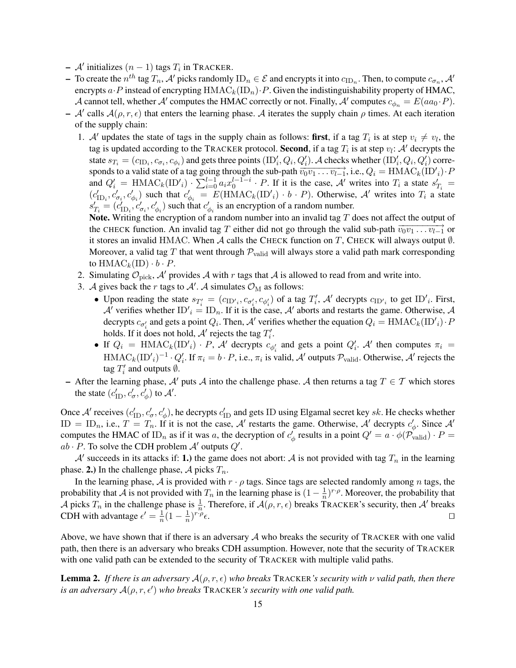- $-$  A' initializes  $(n 1)$  tags  $T_i$  in TRACKER.
- $-$  To create the  $n^{th}$  tag  $T_n$ ,  $\mathcal{A}'$  picks randomly  $ID_n \in \mathcal{E}$  and encrypts it into  $c_{ID_n}$ . Then, to compute  $c_{\sigma_n}$ ,  $\mathcal{A}'$ encrypts  $a \cdot P$  instead of encrypting  $HMAC_k(ID_n) \cdot P$ . Given the indistinguishability property of HMAC, A cannot tell, whether A' computes the HMAC correctly or not. Finally, A' computes  $c_{\phi_n} = E(aa_0 \cdot P)$ .
- A' calls  $A(\rho, r, \epsilon)$  that enters the learning phase. A iterates the supply chain  $\rho$  times. At each iteration of the supply chain:
	- 1. A' updates the state of tags in the supply chain as follows: first, if a tag  $T_i$  is at step  $v_i \neq v_i$ , the tag is updated according to the TRACKER protocol. Second, if a tag  $T_i$  is at step  $v_l$ : A' decrypts the state  $s_{T_i} = (c_{\text{ID}_i}, c_{\sigma_i}, c_{\phi_i})$  and gets three points  $(\text{ID}'_i, Q_i, Q'_i)$ . A checks whether  $(\text{ID}'_i, Q_i, Q'_i)$  corresponds to a valid state of a tag going through the sub-path  $\overrightarrow{v_0v_1 \dots v_{l-1}}$ , i.e.,  $Q_i = \overrightarrow{HMAC}_k(\overrightarrow{ID'}_i) \cdot P$ and  $Q'_i$  = HMAC<sub>k</sub>(ID'<sub>i</sub>) ·  $\sum_{i=0}^{l-1} a_i x_0^{l-1-i}$  · P. If it is the case, A' writes into  $T_i$  a state  $s'_{T_i}$  =  $(c'_{\text{ID}_i}, c'_{\sigma_i}, c'_{\phi_i})$  such that  $c'_{\phi_i} = E(\text{HMAC}_k(\text{ID'}_i) \cdot b \cdot P)$ . Otherwise, A' writes into  $T_i$  a state  $s'_{T_i} = (c'_{\text{ID}_i}, c'_{\sigma_i}, c'_{\phi_i})$  such that  $c'_{\phi_i}$  is an encryption of a random number.

Note. Writing the encryption of a random number into an invalid tag  $T$  does not affect the output of the CHECK function. An invalid tag T either did not go through the valid sub-path  $\overline{v_0v_1 \dots v_{l-1}}$  or it stores an invalid HMAC. When A calls the CHECK function on T, CHECK will always output  $\emptyset$ . Moreover, a valid tag T that went through  $\mathcal{P}_{\text{valid}}$  will always store a valid path mark corresponding to  $\text{HMAC}_k(\text{ID}) \cdot b \cdot P$ .

- 2. Simulating  $\mathcal{O}_{\text{pick}}$ ,  $\mathcal{A}'$  provides  $\mathcal{A}$  with r tags that  $\mathcal{A}$  is allowed to read from and write into.
- 3. A gives back the r tags to A'. A simulates  $\mathcal{O}_{\text{M}}$  as follows:
	- Upon reading the state  $s_{T_i'} = (c_{ID'_i}, c_{\sigma'_i}, c_{\phi'_i})$  of a tag  $T_i'$ , A' decrypts  $c_{ID'_i}$  to get  $ID'_i$ . First, A' verifies whether  $ID'_i = ID_n$ . If it is the case, A' aborts and restarts the game. Otherwise, A decrypts  $c_{\sigma'_i}$  and gets a point  $Q_i$ . Then, A' verifies whether the equation  $Q_i = \text{HMAC}_k(\text{ID'}_i) \cdot P$ holds. If it does not hold,  $A'$  rejects the tag  $T'_i$ .
	- If  $Q_i$  = HMAC<sub>k</sub>(ID'<sub>i</sub>) · P, A' decrypts  $c_{\phi'_i}$  and gets a point  $Q'_i$ . A' then computes  $\pi_i$  =  $\text{HMAC}_k(\text{ID'}_i)^{-1} \cdot Q_i'$ . If  $\pi_i = b \cdot P$ , i.e.,  $\pi_i$  is valid, A' outputs  $\mathcal{P}_{\text{valid}}$ . Otherwise, A' rejects the tag  $T_i'$  and outputs  $\emptyset$ .
- After the learning phase, A' puts A into the challenge phase. A then returns a tag  $T \in \mathcal{T}$  which stores the state  $(c'_{\text{ID}}, c'_{\sigma}, c'_{\phi})$  to  $\mathcal{A}'$ .

Once  $\mathcal{A}'$  receives  $(c'_{\text{ID}}, c'_{\sigma}, c'_{\phi})$ , he decrypts  $c'_{\text{ID}}$  and gets ID using Elgamal secret key sk. He checks whether ID = ID<sub>n</sub>, i.e.,  $T = T_n$ . If it is not the case, A' restarts the game. Otherwise, A' decrypts  $c'_\phi$ . Since A' computes the HMAC of ID<sub>n</sub> as if it was a, the decryption of  $c'_{\phi}$  results in a point  $Q' = a \cdot \phi(\mathcal{P}_{valid}) \cdot P =$  $ab \cdot P$ . To solve the CDH problem  $A'$  outputs  $Q'$ .

A' succeeds in its attacks if: 1.) the game does not abort: A is not provided with tag  $T_n$  in the learning phase. 2.) In the challenge phase, A picks  $T_n$ .

In the learning phase, A is provided with  $r \cdot \rho$  tags. Since tags are selected randomly among n tags, the probability that A is not provided with  $T_n$  in the learning phase is  $(1 - \frac{1}{n})$  $\frac{1}{n}$ )<sup>r.</sup> $\rho$ . Moreover, the probability that A picks  $T_n$  in the challenge phase is  $\frac{1}{n}$ . Therefore, if  $\mathcal{A}(\rho, r, \epsilon)$  breaks TRACKER's security, then  $\mathcal{A}'$  breaks CDH with advantage  $\epsilon' = \frac{1}{n}$  $\frac{1}{n}(1-\frac{1}{n})$  $(\frac{1}{n})^{r \cdot \rho}$  $\epsilon$ .

Above, we have shown that if there is an adversary  $A$  who breaks the security of TRACKER with one valid path, then there is an adversary who breaks CDH assumption. However, note that the security of TRACKER with one valid path can be extended to the security of TRACKER with multiple valid paths.

**Lemma 2.** *If there is an adversary*  $\mathcal{A}(\rho, r, \epsilon)$  *who breaks* TRACKER*'s security with*  $\nu$  *valid path, then there is an adversary*  $A(\rho, r, \epsilon')$  *who breaks* TRACKER*'s security with one valid path.*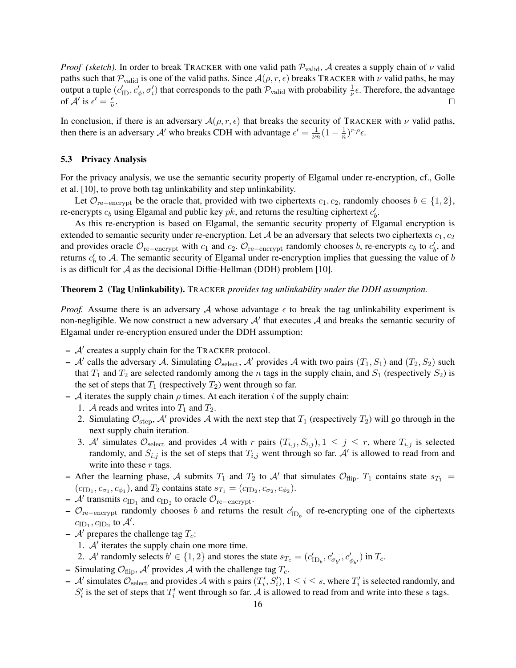*Proof (sketch).* In order to break TRACKER with one valid path  $P_{valid}$ , A creates a supply chain of  $\nu$  valid paths such that  $P_{valid}$  is one of the valid paths. Since  $A(\rho, r, \epsilon)$  breaks TRACKER with  $\nu$  valid paths, he may output a tuple  $(c'_{\text{ID}}, c'_{\phi}, \sigma'_{i})$  that corresponds to the path  $\mathcal{P}_{\text{valid}}$  with probability  $\frac{1}{\nu} \epsilon$ . Therefore, the advantage of  $\mathcal{A}'$  is  $\epsilon' = \frac{\epsilon}{\nu}$ ν . The contract of the contract of the contract of the contract of the contract of the contract of the contract of the contract of the contract of the contract of the contract of the contract of the contract of the contrac

In conclusion, if there is an adversary  $\mathcal{A}(\rho, r, \epsilon)$  that breaks the security of TRACKER with  $\nu$  valid paths, then there is an adversary A' who breaks CDH with advantage  $\epsilon' = \frac{1}{m}$  $\frac{1}{\nu n}(1-\frac{1}{n})$  $\frac{1}{n}$ )<sup>r</sup><sup>. $\rho$ </sup> $\epsilon$ .

#### 5.3 Privacy Analysis

For the privacy analysis, we use the semantic security property of Elgamal under re-encryption, cf., Golle et al. [10], to prove both tag unlinkability and step unlinkability.

Let  $\mathcal{O}_{re-encrypt}$  be the oracle that, provided with two ciphertexts  $c_1, c_2$ , randomly chooses  $b \in \{1, 2\}$ , re-encrypts  $c_b$  using Elgamal and public key  $pk$ , and returns the resulting ciphertext  $c'_b$ .

As this re-encryption is based on Elgamal, the semantic security property of Elgamal encryption is extended to semantic security under re-encryption. Let A be an adversary that selects two ciphertexts  $c_1, c_2$ and provides oracle  $\mathcal{O}_{re-energypt}$  with  $c_1$  and  $c_2$ .  $\mathcal{O}_{re-energypt}$  randomly chooses b, re-encrypts  $c_b$  to  $c'_b$ , and returns  $c'_b$  to A. The semantic security of Elgamal under re-encryption implies that guessing the value of b is as difficult for  $A$  as the decisional Diffie-Hellman (DDH) problem [10].

#### Theorem 2 (Tag Unlinkability). TRACKER *provides tag unlinkability under the DDH assumption.*

*Proof.* Assume there is an adversary A whose advantage  $\epsilon$  to break the tag unlinkability experiment is non-negligible. We now construct a new adversary  $A'$  that executes  $A$  and breaks the semantic security of Elgamal under re-encryption ensured under the DDH assumption:

- $A'$  creates a supply chain for the TRACKER protocol.
- $-$  A' calls the adversary A. Simulating  $\mathcal{O}_{select}$ , A' provides A with two pairs  $(T_1, S_1)$  and  $(T_2, S_2)$  such that  $T_1$  and  $T_2$  are selected randomly among the n tags in the supply chain, and  $S_1$  (respectively  $S_2$ ) is the set of steps that  $T_1$  (respectively  $T_2$ ) went through so far.
- A iterates the supply chain  $\rho$  times. At each iteration i of the supply chain:
	- 1. A reads and writes into  $T_1$  and  $T_2$ .
	- 2. Simulating  $\mathcal{O}_{step}$ , A' provides A with the next step that  $T_1$  (respectively  $T_2$ ) will go through in the next supply chain iteration.
	- 3. A' simulates  $\mathcal{O}_{select}$  and provides A with r pairs  $(T_{i,j}, S_{i,j})$ ,  $1 \leq j \leq r$ , where  $T_{i,j}$  is selected randomly, and  $S_{i,j}$  is the set of steps that  $T_{i,j}$  went through so far. A' is allowed to read from and write into these  $r$  tags.
- After the learning phase, A submits  $T_1$  and  $T_2$  to  $\mathcal{A}'$  that simulates  $\mathcal{O}_{flip}$ .  $T_1$  contains state  $s_{T_1}$  =  $(c<sub>ID<sub>1</sub></sub>, c<sub>\sigma<sub>1</sub></sub>, c<sub>\phi<sub>1</sub></sub>)$ , and  $T_2$  contains state  $s<sub>T<sub>1</sub></sub> = (c<sub>ID<sub>2</sub></sub>, c<sub>\sigma<sub>2</sub></sub>, c<sub>\phi<sub>2</sub></sub>)$ .
- $-$  A' transmits  $c_{\text{ID}_1}$  and  $c_{\text{ID}_2}$  to oracle  $\mathcal{O}_{\text{re-encrypt}}$ .
- $\mathcal{O}_{\text{re}-\text{encrypt}}$  randomly chooses b and returns the result  $c'_{1D_b}$  of re-encrypting one of the ciphertexts  $c_{\text{ID}_1}, c_{\text{ID}_2}$  to  $\mathcal{A}'$ .
- $\mathcal{A}'$  prepares the challenge tag  $T_c$ :
	- 1.  $A'$  iterates the supply chain one more time.
	- 2. A' randomly selects  $b' \in \{1, 2\}$  and stores the state  $s_{T_c} = (c'_{\text{ID}_b}, c'_{\sigma_{b'}}, c'_{\phi_{b'}})$  in  $T_c$ .
- Simulating  $\mathcal{O}_{\text{flip}}$ , A' provides A with the challenge tag  $T_c$ .
- $-$  A' simulates  $\mathcal{O}_{select}$  and provides A with s pairs  $(T_i', S_i'), 1 \le i \le s$ , where  $T_i'$  is selected randomly, and  $S_i'$  is the set of steps that  $T_i'$  went through so far. A is allowed to read from and write into these s tags.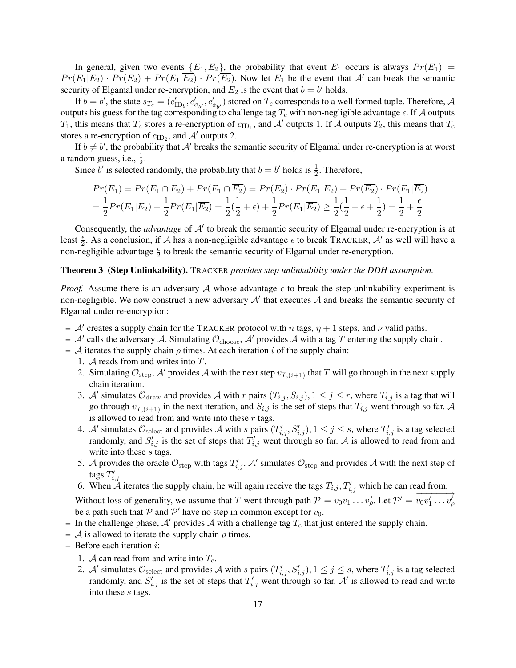In general, given two events  ${E_1, E_2}$ , the probability that event  $E_1$  occurs is always  $Pr(E_1)$  =  $Pr(E_1|E_2) \cdot Pr(E_2) + Pr(E_1|\overline{E_2}) \cdot Pr(\overline{E_2})$ . Now let  $E_1$  be the event that  $\mathcal{A}'$  can break the semantic security of Elgamal under re-encryption, and  $E_2$  is the event that  $b = b'$  holds.

If  $b = b'$ , the state  $s_{T_c} = (c'_{\text{ID}_b}, c'_{\sigma_{b'}}, c'_{\phi_{b'}})$  stored on  $T_c$  corresponds to a well formed tuple. Therefore, A outputs his guess for the tag corresponding to challenge tag  $T_c$  with non-negligible advantage  $\epsilon$ . If A outputs  $T_1$ , this means that  $T_c$  stores a re-encryption of  $c_{\text{ID}_1}$ , and  $\mathcal{A}'$  outputs 1. If  $\mathcal A$  outputs  $T_2$ , this means that  $T_c$ stores a re-encryption of  $c_{\text{ID}_2}$ , and  $\mathcal{A}'$  outputs 2.

If  $b \neq b'$ , the probability that A' breaks the semantic security of Elgamal under re-encryption is at worst a random guess, i.e.,  $\frac{1}{2}$ .

Since b' is selected randomly, the probability that  $b = b'$  holds is  $\frac{1}{2}$ . Therefore,

$$
Pr(E_1) = Pr(E_1 \cap E_2) + Pr(E_1 \cap \overline{E_2}) = Pr(E_2) \cdot Pr(E_1|E_2) + Pr(\overline{E_2}) \cdot Pr(E_1|\overline{E_2})
$$
  
=  $\frac{1}{2}Pr(E_1|E_2) + \frac{1}{2}Pr(E_1|\overline{E_2}) = \frac{1}{2}(\frac{1}{2} + \epsilon) + \frac{1}{2}Pr(E_1|\overline{E_2}) \ge \frac{1}{2}(\frac{1}{2} + \epsilon + \frac{1}{2}) = \frac{1}{2} + \frac{\epsilon}{2}$ 

Consequently, the *advantage* of  $A'$  to break the semantic security of Elgamal under re-encryption is at least  $\frac{\epsilon}{2}$ . As a conclusion, if A has a non-negligible advantage  $\epsilon$  to break TRACKER, A' as well will have a non-negligible advantage  $\frac{\epsilon}{2}$  to break the semantic security of Elgamal under re-encryption.

## Theorem 3 (Step Unlinkability). TRACKER *provides step unlinkability under the DDH assumption.*

*Proof.* Assume there is an adversary A whose advantage  $\epsilon$  to break the step unlinkability experiment is non-negligible. We now construct a new adversary  $A'$  that executes  $A$  and breaks the semantic security of Elgamal under re-encryption:

- A' creates a supply chain for the TRACKER protocol with n tags,  $\eta + 1$  steps, and  $\nu$  valid paths.
- A' calls the adversary A. Simulating  $\mathcal{O}_{choose}$ , A' provides A with a tag T entering the supply chain.
- A iterates the supply chain  $\rho$  times. At each iteration i of the supply chain:
	- 1. A reads from and writes into T.
	- 2. Simulating  $\mathcal{O}_{step}$ , A' provides A with the next step  $v_{T,(i+1)}$  that T will go through in the next supply chain iteration.
	- 3. A' simulates  $\mathcal{O}_{\text{draw}}$  and provides A with r pairs  $(T_{i,j}, S_{i,j})$ ,  $1 \le j \le r$ , where  $T_{i,j}$  is a tag that will go through  $v_{T,(i+1)}$  in the next iteration, and  $S_{i,j}$  is the set of steps that  $T_{i,j}$  went through so far. A is allowed to read from and write into these  $r$  tags.
	- 4. A' simulates  $\mathcal{O}_{select}$  and provides A with s pairs  $(T'_{i,j}, S'_{i,j})$ ,  $1 \le j \le s$ , where  $T'_{i,j}$  is a tag selected randomly, and  $S'_{i,j}$  is the set of steps that  $T'_{i,j}$  went through so far. A is allowed to read from and write into these s tags.
	- 5. A provides the oracle  $\mathcal{O}_{step}$  with tags  $T'_{i,j}$ . A' simulates  $\mathcal{O}_{step}$  and provides A with the next step of tags  $T'_{i,j}$ .
	- 6. When  $\tilde{\mathcal{A}}$  iterates the supply chain, he will again receive the tags  $T_{i,j}, T'_{i,j}$  which he can read from.

Without loss of generality, we assume that T went through path  $\mathcal{P} = \overrightarrow{v_0v_1 \dots v_p}$ . Let  $\mathcal{P}' = \overrightarrow{v_0v'_1 \dots v'_p}$  $v_0v'_1\ldots v'_\rho$ be a path such that  $P$  and  $P'$  have no step in common except for  $v_0$ .

- In the challenge phase, A' provides A with a challenge tag  $T_c$  that just entered the supply chain.
- A is allowed to iterate the supply chain  $\rho$  times.
- Before each iteration i:
	- 1. A can read from and write into  $T_c$ .
	- 2. A' simulates  $\mathcal{O}_{select}$  and provides A with s pairs  $(T'_{i,j}, S'_{i,j})$ ,  $1 \le j \le s$ , where  $T'_{i,j}$  is a tag selected randomly, and  $S'_{i,j}$  is the set of steps that  $T'_{i,j}$  went through so far. A' is allowed to read and write into these s tags.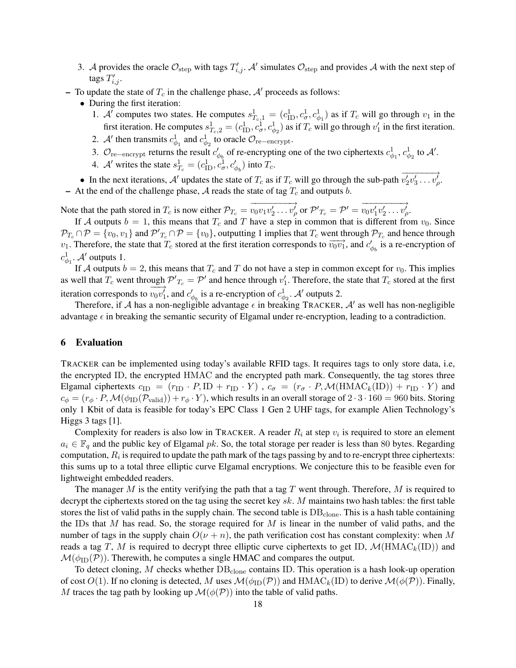- 3. A provides the oracle  $\mathcal{O}_{step}$  with tags  $T'_{i,j}$ . A' simulates  $\mathcal{O}_{step}$  and provides A with the next step of tags  $T'_{i,j}$ .
- To update the state of  $T_c$  in the challenge phase,  $A'$  proceeds as follows:
	- During the first iteration:
		- 1. A' computes two states. He computes  $s_{T_c,1}^1 = (c_{\text{ID}}^1, c_{\sigma}^1, c_{\phi_1}^1)$  as if  $T_c$  will go through  $v_1$  in the first iteration. He computes  $s_{T_c,2}^1 = (c_{\text{ID}}^1, c_{\sigma}^1, c_{\phi_2}^1)$  as if  $T_c$  will go through  $v_1'$  in the first iteration.
		- 2. A' then transmits  $c_{\phi_1}^1$  and  $c_{\phi_2}^1$  to oracle  $\mathcal{O}_{re-encryption}$ .
		- 3.  $\mathcal{O}_{\text{re-encrypt}}$  returns the result  $c'_{\phi_b}$  of re-encrypting one of the two ciphertexts  $c^1_{\phi_1}, c^1_{\phi_2}$  to  $\mathcal{A}'$ .
		- 4. A' writes the state  $s_{T_c}^1 = (c_{\text{ID}}^1, c_{\sigma}^1, c_{\phi_b}^1)$  into  $T_c$ .

• In the next iterations, A' updates the state of  $T_c$  as if  $T_c$  will go through the sub-path  $\overrightarrow{v_2'v_3' \dots v_p'}$  $v'_2v'_3\ldots v'_\rho.$ – At the end of the challenge phase, A reads the state of tag  $T_c$  and outputs b.

Note that the path stored in  $T_c$  is now either  $\mathcal{P}_{T_c} =$  $-\rightarrow$  $\overrightarrow{v_0v_1v_2'\ldots v_{\rho}}$  or  $\mathcal{P'}_{T_c} = \mathcal{P'} = \overrightarrow{v_0v_1'v_2'\ldots v_{\rho'}}$  $v_0v'_1v'_2\ldots v'_\rho.$ 

If A outputs  $b = 1$ , this means that  $T_c$  and T have a step in common that is different from  $v_0$ . Since  $\mathcal{P}_{T_c} \cap \mathcal{P} = \{v_0, v_1\}$  and  $\mathcal{P'}_{T_c} \cap \mathcal{P} = \{v_0\}$ , outputting 1 implies that  $T_c$  went through  $\mathcal{P}_{T_c}$  and hence through v<sub>1.</sub> Therefore, the state that  $T_c$  stored at the first iteration corresponds to  $\overrightarrow{v_0v_1}$ , and  $c'_{\phi_b}$  is a re-encryption of  $c^1_{\phi_1}$ . A' outputs 1.

If A outputs  $b = 2$ , this means that  $T_c$  and T do not have a step in common except for  $v_0$ . This implies as well that  $T_c$  went through  $\mathcal{P'}_{T_c} = \mathcal{P'}$  and hence through  $v'_1$ . Therefore, the state that  $T_c$  stored at the first iteration corresponds to  $\longrightarrow$  $v_0v_1'$ , and  $c'_{\phi_b}$  is a re-encryption of  $c^1_{\phi_2}$ . A' outputs 2.

Therefore, if A has a non-negligible advantage  $\epsilon$  in breaking TRACKER, A' as well has non-negligible advantage  $\epsilon$  in breaking the semantic security of Elgamal under re-encryption, leading to a contradiction.

# 6 Evaluation

TRACKER can be implemented using today's available RFID tags. It requires tags to only store data, i.e, the encrypted ID, the encrypted HMAC and the encrypted path mark. Consequently, the tag stores three Elgamal ciphertexts  $c_{\text{ID}} = (r_{\text{ID}} \cdot P, \text{ID} + r_{\text{ID}} \cdot Y)$ ,  $c_{\sigma} = (r_{\sigma} \cdot P, \mathcal{M}(\text{HMAC}_k(\text{ID})) + r_{\text{ID}} \cdot Y)$  and  $c_{\phi} = (r_{\phi} \cdot P, \mathcal{M}(\phi_{ID}(P_{valid})) + r_{\phi} \cdot Y)$ , which results in an overall storage of  $2 \cdot 3 \cdot 160 = 960$  bits. Storing only 1 Kbit of data is feasible for today's EPC Class 1 Gen 2 UHF tags, for example Alien Technology's Higgs 3 tags [1].

Complexity for readers is also low in TRACKER. A reader  $R_i$  at step  $v_i$  is required to store an element  $a_i \in \mathbb{F}_q$  and the public key of Elgamal pk. So, the total storage per reader is less than 80 bytes. Regarding computation,  $R_i$  is required to update the path mark of the tags passing by and to re-encrypt three ciphertexts: this sums up to a total three elliptic curve Elgamal encryptions. We conjecture this to be feasible even for lightweight embedded readers.

The manager M is the entity verifying the path that a tag T went through. Therefore, M is required to decrypt the ciphertexts stored on the tag using the secret key  $sk$ . M maintains two hash tables: the first table stores the list of valid paths in the supply chain. The second table is  $DB_{clone}$ . This is a hash table containing the IDs that M has read. So, the storage required for M is linear in the number of valid paths, and the number of tags in the supply chain  $O(\nu + n)$ , the path verification cost has constant complexity: when M reads a tag T, M is required to decrypt three elliptic curve ciphertexts to get ID,  $\mathcal{M}(\text{HMAC}_k(\text{ID}))$  and  $\mathcal{M}(\phi_{\text{ID}}(\mathcal{P}))$ . Therewith, he computes a single HMAC and compares the output.

To detect cloning,  $M$  checks whether  $DB<sub>clone</sub>$  contains ID. This operation is a hash look-up operation of cost  $O(1)$ . If no cloning is detected, M uses  $\mathcal{M}(\phi_{\text{ID}}(\mathcal{P}))$  and  $\text{HMAC}_k(\text{ID})$  to derive  $\mathcal{M}(\phi(\mathcal{P}))$ . Finally, M traces the tag path by looking up  $\mathcal{M}(\phi(\mathcal{P}))$  into the table of valid paths.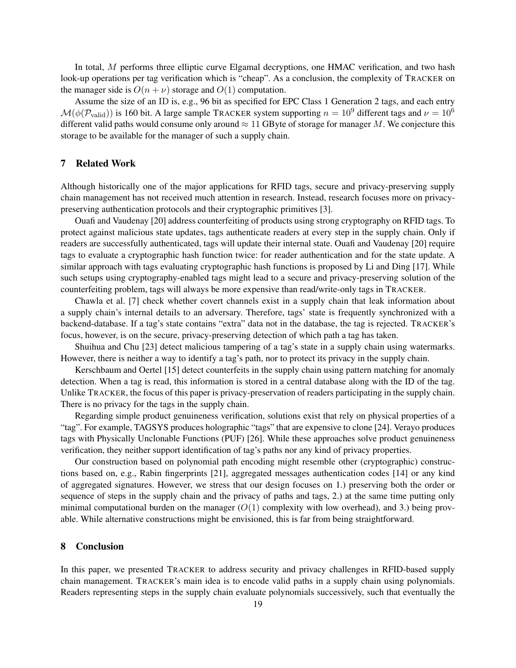In total, M performs three elliptic curve Elgamal decryptions, one HMAC verification, and two hash look-up operations per tag verification which is "cheap". As a conclusion, the complexity of TRACKER on the manager side is  $O(n + \nu)$  storage and  $O(1)$  computation.

Assume the size of an ID is, e.g., 96 bit as specified for EPC Class 1 Generation 2 tags, and each entry  $\mathcal{M}(\phi(\mathcal{P}_{valid}))$  is 160 bit. A large sample TRACKER system supporting  $n = 10^9$  different tags and  $\nu = 10^6$ different valid paths would consume only around  $\approx 11$  GByte of storage for manager M. We conjecture this storage to be available for the manager of such a supply chain.

# 7 Related Work

Although historically one of the major applications for RFID tags, secure and privacy-preserving supply chain management has not received much attention in research. Instead, research focuses more on privacypreserving authentication protocols and their cryptographic primitives [3].

Ouafi and Vaudenay [20] address counterfeiting of products using strong cryptography on RFID tags. To protect against malicious state updates, tags authenticate readers at every step in the supply chain. Only if readers are successfully authenticated, tags will update their internal state. Ouafi and Vaudenay [20] require tags to evaluate a cryptographic hash function twice: for reader authentication and for the state update. A similar approach with tags evaluating cryptographic hash functions is proposed by Li and Ding [17]. While such setups using cryptography-enabled tags might lead to a secure and privacy-preserving solution of the counterfeiting problem, tags will always be more expensive than read/write-only tags in TRACKER.

Chawla et al. [7] check whether covert channels exist in a supply chain that leak information about a supply chain's internal details to an adversary. Therefore, tags' state is frequently synchronized with a backend-database. If a tag's state contains "extra" data not in the database, the tag is rejected. TRACKER's focus, however, is on the secure, privacy-preserving detection of which path a tag has taken.

Shuihua and Chu [23] detect malicious tampering of a tag's state in a supply chain using watermarks. However, there is neither a way to identify a tag's path, nor to protect its privacy in the supply chain.

Kerschbaum and Oertel [15] detect counterfeits in the supply chain using pattern matching for anomaly detection. When a tag is read, this information is stored in a central database along with the ID of the tag. Unlike TRACKER, the focus of this paper is privacy-preservation of readers participating in the supply chain. There is no privacy for the tags in the supply chain.

Regarding simple product genuineness verification, solutions exist that rely on physical properties of a "tag". For example, TAGSYS produces holographic "tags" that are expensive to clone [24]. Verayo produces tags with Physically Unclonable Functions (PUF) [26]. While these approaches solve product genuineness verification, they neither support identification of tag's paths nor any kind of privacy properties.

Our construction based on polynomial path encoding might resemble other (cryptographic) constructions based on, e.g., Rabin fingerprints [21], aggregated messages authentication codes [14] or any kind of aggregated signatures. However, we stress that our design focuses on 1.) preserving both the order or sequence of steps in the supply chain and the privacy of paths and tags, 2.) at the same time putting only minimal computational burden on the manager  $(O(1)$  complexity with low overhead), and 3.) being provable. While alternative constructions might be envisioned, this is far from being straightforward.

## 8 Conclusion

In this paper, we presented TRACKER to address security and privacy challenges in RFID-based supply chain management. TRACKER's main idea is to encode valid paths in a supply chain using polynomials. Readers representing steps in the supply chain evaluate polynomials successively, such that eventually the